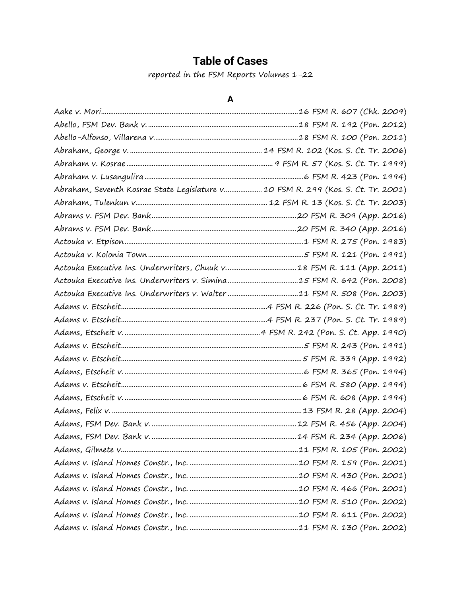## **Table of Cases**

reported in the FSM Reports Volumes 1-22

## **A**

| Abraham, Seventh Kosrae State Legislature v 10 FSM R. 299 (Kos. S. Ct. Tr. 2001) |  |
|----------------------------------------------------------------------------------|--|
|                                                                                  |  |
|                                                                                  |  |
|                                                                                  |  |
|                                                                                  |  |
|                                                                                  |  |
|                                                                                  |  |
|                                                                                  |  |
|                                                                                  |  |
|                                                                                  |  |
|                                                                                  |  |
|                                                                                  |  |
|                                                                                  |  |
|                                                                                  |  |
|                                                                                  |  |
|                                                                                  |  |
|                                                                                  |  |
|                                                                                  |  |
|                                                                                  |  |
|                                                                                  |  |
|                                                                                  |  |
|                                                                                  |  |
|                                                                                  |  |
|                                                                                  |  |
|                                                                                  |  |
|                                                                                  |  |
|                                                                                  |  |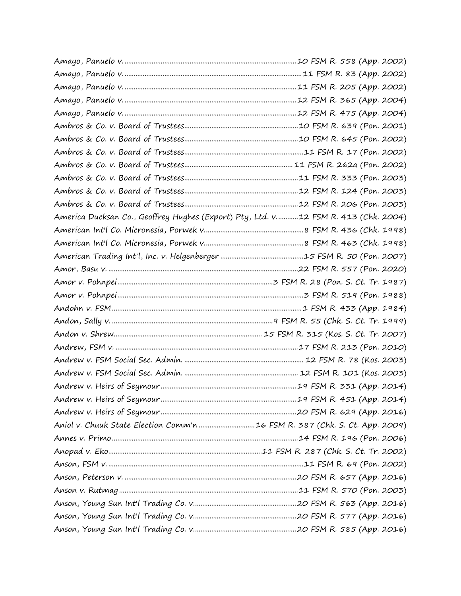| America Ducksan Co., Geoffrey Hughes (Export) Pty, Ltd. v12 FSM R. 413 (Chk. 2004) |  |
|------------------------------------------------------------------------------------|--|
|                                                                                    |  |
|                                                                                    |  |
|                                                                                    |  |
|                                                                                    |  |
|                                                                                    |  |
|                                                                                    |  |
|                                                                                    |  |
|                                                                                    |  |
|                                                                                    |  |
|                                                                                    |  |
|                                                                                    |  |
|                                                                                    |  |
|                                                                                    |  |
|                                                                                    |  |
|                                                                                    |  |
|                                                                                    |  |
|                                                                                    |  |
|                                                                                    |  |
|                                                                                    |  |
|                                                                                    |  |
|                                                                                    |  |
|                                                                                    |  |
|                                                                                    |  |
|                                                                                    |  |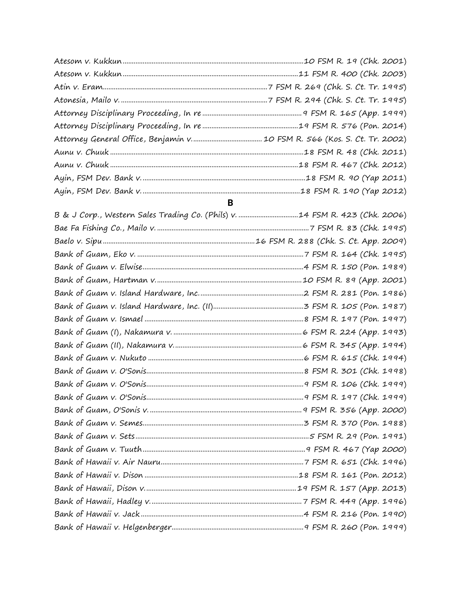## $\overline{\mathbf{B}}$

| B & J Corp., Western Sales Trading Co. (Phils) v. 14 FSM R. 423 (Chk. 2006) |  |
|-----------------------------------------------------------------------------|--|
|                                                                             |  |
|                                                                             |  |
|                                                                             |  |
|                                                                             |  |
|                                                                             |  |
|                                                                             |  |
|                                                                             |  |
|                                                                             |  |
|                                                                             |  |
|                                                                             |  |
|                                                                             |  |
|                                                                             |  |
|                                                                             |  |
|                                                                             |  |
|                                                                             |  |
|                                                                             |  |
|                                                                             |  |
|                                                                             |  |
|                                                                             |  |
|                                                                             |  |
|                                                                             |  |
|                                                                             |  |
|                                                                             |  |
|                                                                             |  |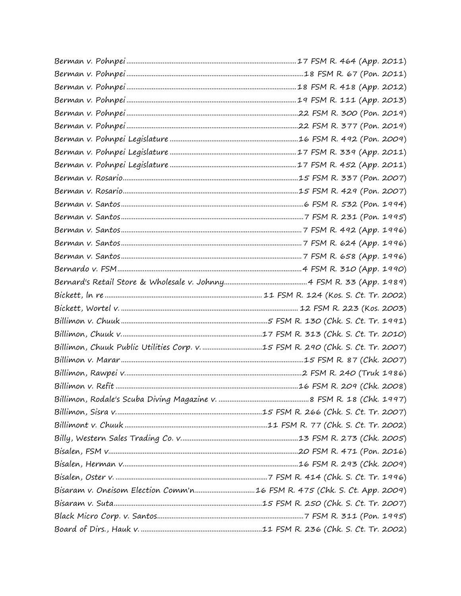| Billimon, Chuuk Public Utilities Corp. v. 15 FSM R. 290 (Chk. S. Ct. Tr. 2007) |  |
|--------------------------------------------------------------------------------|--|
|                                                                                |  |
|                                                                                |  |
|                                                                                |  |
|                                                                                |  |
|                                                                                |  |
|                                                                                |  |
|                                                                                |  |
|                                                                                |  |
|                                                                                |  |
|                                                                                |  |
|                                                                                |  |
|                                                                                |  |
|                                                                                |  |
|                                                                                |  |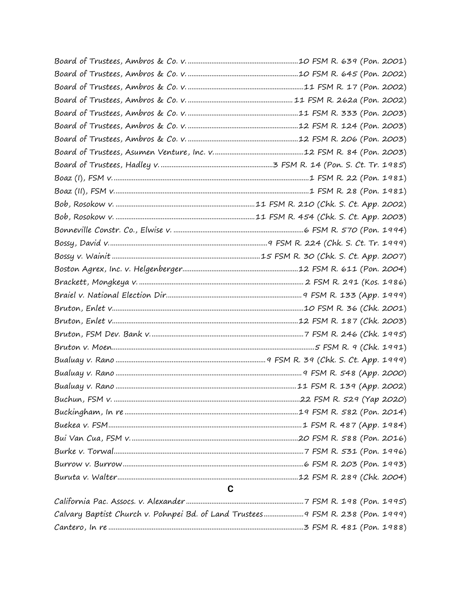| C                                                                               |  |
|---------------------------------------------------------------------------------|--|
|                                                                                 |  |
| Calvary Baptist Church v. Pohnpei Bd. of Land Trustees 9 FSM R. 238 (Pon. 1999) |  |
|                                                                                 |  |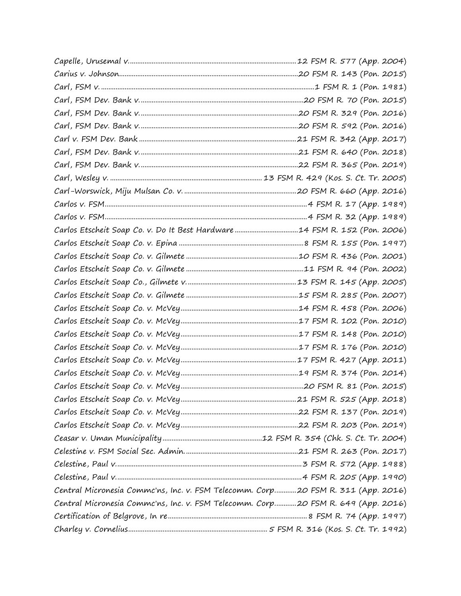| Central Micronesia Commc'ns, Inc. v. FSM Telecomm. Corp20 FSM R. 311 (App. 2016) |  |
|----------------------------------------------------------------------------------|--|
| Central Micronesia Commc'ns, Inc. v. FSM Telecomm. Corp20 FSM R. 649 (App. 2016) |  |
|                                                                                  |  |
|                                                                                  |  |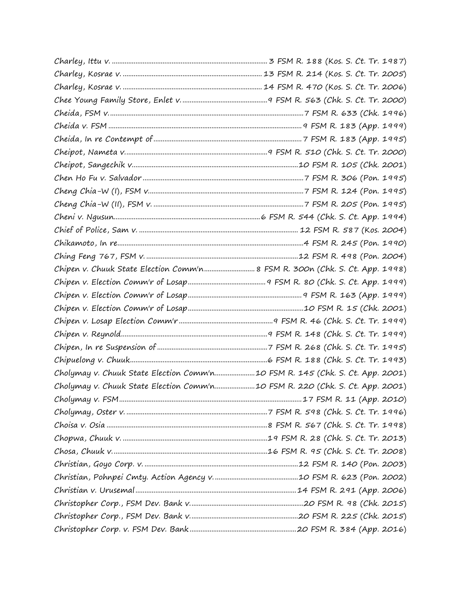| Chipen v. Chuuk State Election Comm'n 8 FSM R. 300n (Chk. S. Ct. App. 1998)  |  |
|------------------------------------------------------------------------------|--|
|                                                                              |  |
|                                                                              |  |
|                                                                              |  |
|                                                                              |  |
|                                                                              |  |
|                                                                              |  |
|                                                                              |  |
| Cholymay v. Chuuk State Election Comm'n10 FSM R. 145 (Chk. S. Ct. App. 2001) |  |
| Cholymay v. Chuuk State Election Comm'n10 FSM R. 220 (Chk. S. Ct. App. 2001) |  |
|                                                                              |  |
|                                                                              |  |
|                                                                              |  |
|                                                                              |  |
|                                                                              |  |
|                                                                              |  |
|                                                                              |  |
|                                                                              |  |
|                                                                              |  |
|                                                                              |  |
|                                                                              |  |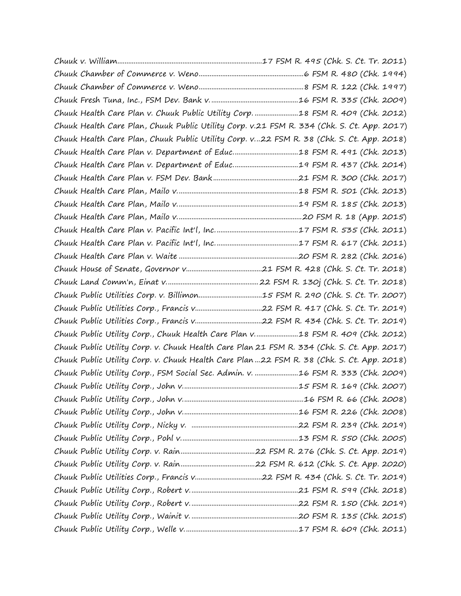|                                                                                            | Chuuk Health Care Plan v. Chuuk Public Utility Corp. 18 FSM R. 409 (Chk. 2012)             |
|--------------------------------------------------------------------------------------------|--------------------------------------------------------------------------------------------|
|                                                                                            | Chuuk Health Care Plan, Chuuk Public Utility Corp. v.21 FSM R. 334 (Chk. S. Ct. App. 2017) |
|                                                                                            | Chuuk Health Care Plan, Chuuk Public Utility Corp. v22 FSM R. 38 (Chk. S. Ct. App. 2018)   |
|                                                                                            |                                                                                            |
|                                                                                            |                                                                                            |
|                                                                                            |                                                                                            |
|                                                                                            |                                                                                            |
|                                                                                            |                                                                                            |
|                                                                                            |                                                                                            |
|                                                                                            |                                                                                            |
|                                                                                            |                                                                                            |
|                                                                                            |                                                                                            |
|                                                                                            |                                                                                            |
|                                                                                            |                                                                                            |
|                                                                                            | Chuuk Public Utilities Corp. v. Billimon15 FSM R. 290 (Chk. S. Ct. Tr. 2007)               |
|                                                                                            |                                                                                            |
|                                                                                            |                                                                                            |
| Chuuk Public Utility Corp., Chuuk Health Care Plan v18 FSM R. 409 (Chk. 2012)              |                                                                                            |
| Chuuk Public Utility Corp. v. Chuuk Health Care Plan 21 FSM R. 334 (Chk. S. Ct. App. 2017) |                                                                                            |
| Chuuk Public Utility Corp. v. Chuuk Health Care Plan 22 FSM R. 38 (Chk. S. Ct. App. 2018)  |                                                                                            |
| Chuuk Public Utility Corp., FSM Social Sec. Admin. v. 16 FSM R. 333 (Chk. 2009)            |                                                                                            |
|                                                                                            |                                                                                            |
|                                                                                            |                                                                                            |
|                                                                                            |                                                                                            |
|                                                                                            |                                                                                            |
|                                                                                            |                                                                                            |
|                                                                                            |                                                                                            |
|                                                                                            |                                                                                            |
|                                                                                            |                                                                                            |
|                                                                                            |                                                                                            |
|                                                                                            |                                                                                            |
|                                                                                            |                                                                                            |
|                                                                                            |                                                                                            |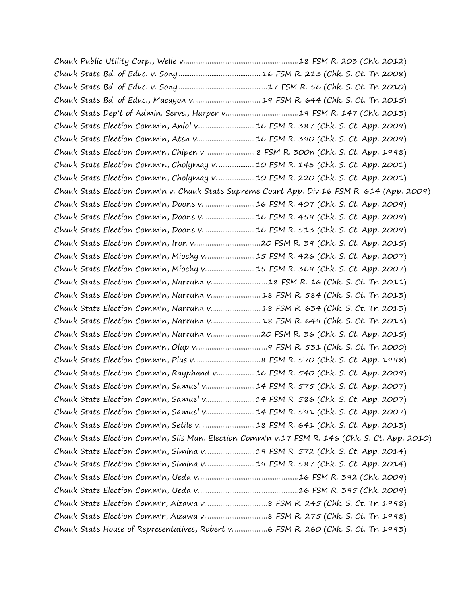|  | Chuuk State Election Comm'n, Aniol v16 FSM R. 387 (Chk. S. Ct. App. 2009)                      |
|--|------------------------------------------------------------------------------------------------|
|  | Chuuk State Election Comm'n, Aten v16 FSM R. 390 (Chk. S. Ct. App. 2009)                       |
|  | Chuuk State Election Comm'n, Chipen v.  8 FSM R. 300n (Chk. S. Ct. App. 1998)                  |
|  | Chuuk State Election Comm'n, Cholymay v. 10 FSM R. 145 (Chk. S. Ct. App. 2001)                 |
|  | Chuuk State Election Comm'n, Cholymay v. 10 FSM R. 220 (Chk. S. Ct. App. 2001)                 |
|  | Chuuk State Election Comm'n v. Chuuk State Supreme Court App. Div.16 FSM R. 614 (App. 2009)    |
|  | Chuuk State Election Comm'n, Doone v16 FSM R. 407 (Chk. S. Ct. App. 2009)                      |
|  | Chuuk State Election Comm'n, Doone v16 FSM R. 459 (Chk. S. Ct. App. 2009)                      |
|  | Chuuk State Election Comm'n, Doone v16 FSM R. 513 (Chk. S. Ct. App. 2009)                      |
|  |                                                                                                |
|  | Chuuk State Election Comm'n, Miochy v15 FSM R. 426 (Chk. S. Ct. App. 2007)                     |
|  | Chuuk State Election Comm'n, Miochy v15 FSM R. 369 (Chk. S. Ct. App. 2007)                     |
|  |                                                                                                |
|  | Chuuk State Election Comm'n, Narruhn v18 FSM R. 584 (Chk. S. Ct. Tr. 2013)                     |
|  | Chuuk State Election Comm'n, Narruhn v18 FSM R. 634 (Chk. S. Ct. Tr. 2013)                     |
|  | Chuuk State Election Comm'n, Narruhn v18 FSM R. 649 (Chk. S. Ct. Tr. 2013)                     |
|  | Chuuk State Election Comm'n, Narruhn v20 FSM R. 36 (Chk. S. Ct. App. 2015)                     |
|  |                                                                                                |
|  |                                                                                                |
|  | Chuuk State Election Comm'n, Rayphand v16 FSM R. 540 (Chk. S. Ct. App. 2009)                   |
|  | Chuuk State Election Comm'n, Samuel v14 FSM R. 575 (Chk. S. Ct. App. 2007)                     |
|  | Chuuk State Election Comm'n, Samuel v14 FSM R. 586 (Chk. S. Ct. App. 2007)                     |
|  | Chuuk State Election Comm'n, Samuel v14 FSM R. 591 (Chk. S. Ct. App. 2007)                     |
|  | Chuuk State Election Comm'n, Setile v. 18 FSM R. 641 (Chk. S. Ct. App. 2013)                   |
|  | Chuuk State Election Comm'n, Siis Mun. Election Comm'n v.17 FSM R. 146 (Chk. S. Ct. App. 2010) |
|  | Chuuk State Election Comm'n, Simina v. 19 FSM R. 572 (Chk. S. Ct. App. 2014)                   |
|  | Chuuk State Election Comm'n, Simina v. 19 FSM R. 587 (Chk. S. Ct. App. 2014)                   |
|  |                                                                                                |
|  |                                                                                                |
|  |                                                                                                |
|  |                                                                                                |
|  | Chuuk State House of Representatives, Robert v6 FSM R. 260 (Chk. S. Ct. Tr. 1993)              |
|  |                                                                                                |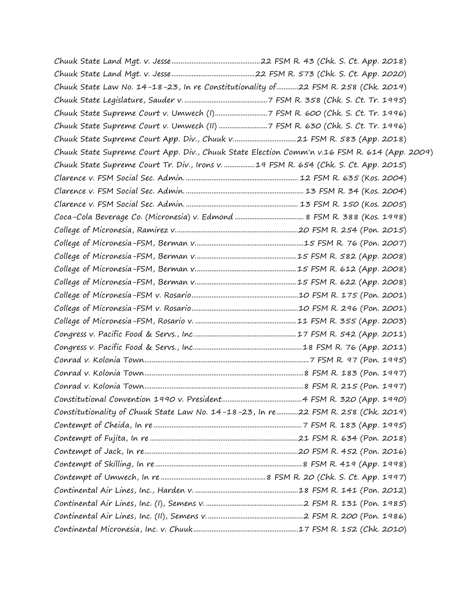| Chuuk State Law No. 14-18-23, In re Constitutionality of 22 FSM R. 258 (Chk. 2019)           |  |
|----------------------------------------------------------------------------------------------|--|
|                                                                                              |  |
|                                                                                              |  |
| Chuuk State Supreme Court v. Umwech (II) 7 FSM R. 630 (Chk. S. Ct. Tr. 1996)                 |  |
|                                                                                              |  |
| Chuuk State Supreme Court App. Div., Chuuk State Election Comm'n v.16 FSM R. 614 (App. 2009) |  |
| Chuuk State Supreme Court Tr. Div., Irons v. 19 FSM R. 654 (Chk. S. Ct. App. 2015)           |  |
|                                                                                              |  |
|                                                                                              |  |
|                                                                                              |  |
|                                                                                              |  |
|                                                                                              |  |
|                                                                                              |  |
|                                                                                              |  |
|                                                                                              |  |
|                                                                                              |  |
|                                                                                              |  |
|                                                                                              |  |
|                                                                                              |  |
|                                                                                              |  |
|                                                                                              |  |
|                                                                                              |  |
|                                                                                              |  |
|                                                                                              |  |
|                                                                                              |  |
| Constitutionality of Chuuk State Law No. 14-18-23, In re22 FSM R. 258 (Chk. 2019)            |  |
|                                                                                              |  |
|                                                                                              |  |
|                                                                                              |  |
|                                                                                              |  |
|                                                                                              |  |
|                                                                                              |  |
|                                                                                              |  |
|                                                                                              |  |
|                                                                                              |  |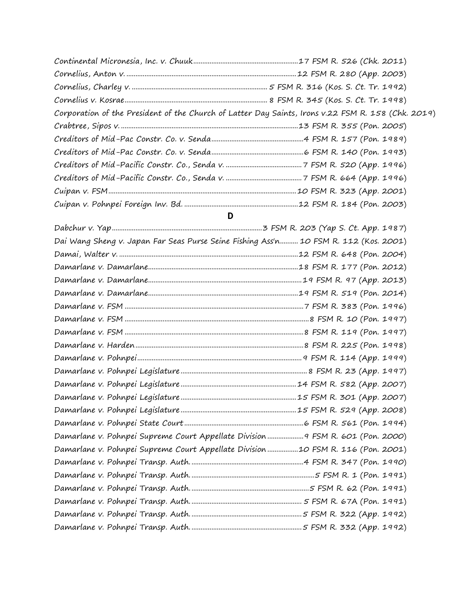| Corporation of the President of the Church of Latter Day Saints, Irons v.22 FSM R. 158 (Chk. 2019) |  |
|----------------------------------------------------------------------------------------------------|--|
|                                                                                                    |  |
|                                                                                                    |  |
|                                                                                                    |  |
|                                                                                                    |  |
|                                                                                                    |  |
|                                                                                                    |  |
|                                                                                                    |  |

## **D**

| Dai Wang Sheng v. Japan Far Seas Purse Seine Fishing Ass'n 10 FSM R. 112 (Kos. 2001) |
|--------------------------------------------------------------------------------------|
|                                                                                      |
|                                                                                      |
|                                                                                      |
|                                                                                      |
|                                                                                      |
|                                                                                      |
|                                                                                      |
|                                                                                      |
|                                                                                      |
|                                                                                      |
|                                                                                      |
|                                                                                      |
|                                                                                      |
|                                                                                      |
| Damarlane v. Pohnpei Supreme Court Appellate Division 9 FSM R. 601 (Pon. 2000)       |
| Damarlane v. Pohnpei Supreme Court Appellate Division10 FSM R. 116 (Pon. 2001)       |
|                                                                                      |
|                                                                                      |
|                                                                                      |
|                                                                                      |
|                                                                                      |
|                                                                                      |
|                                                                                      |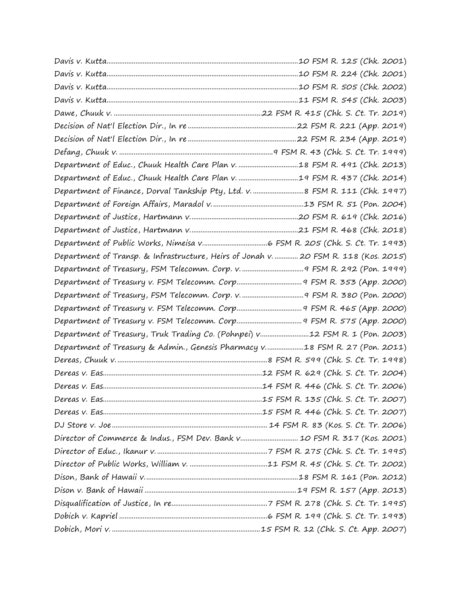| Department of Finance, Dorval Tankship Pty, Ltd. v.  8 FSM R. 111 (Chk. 1997)        |  |
|--------------------------------------------------------------------------------------|--|
|                                                                                      |  |
|                                                                                      |  |
|                                                                                      |  |
|                                                                                      |  |
| Department of Transp. & Infrastructure, Heirs of Jonah v.  20 FSM R. 118 (Kos. 2015) |  |
|                                                                                      |  |
|                                                                                      |  |
|                                                                                      |  |
|                                                                                      |  |
|                                                                                      |  |
| Department of Treasury, Truk Trading Co. (Pohnpei) v12 FSM R. 1 (Pon. 2003)          |  |
| Department of Treasury & Admin., Genesis Pharmacy v18 FSM R. 27 (Pon. 2011)          |  |
|                                                                                      |  |
|                                                                                      |  |
|                                                                                      |  |
|                                                                                      |  |
|                                                                                      |  |
|                                                                                      |  |
| Director of Commerce & Indus., FSM Dev. Bank v 10 FSM R. 317 (Kos. 2001)             |  |
|                                                                                      |  |
|                                                                                      |  |
|                                                                                      |  |
|                                                                                      |  |
|                                                                                      |  |
|                                                                                      |  |
|                                                                                      |  |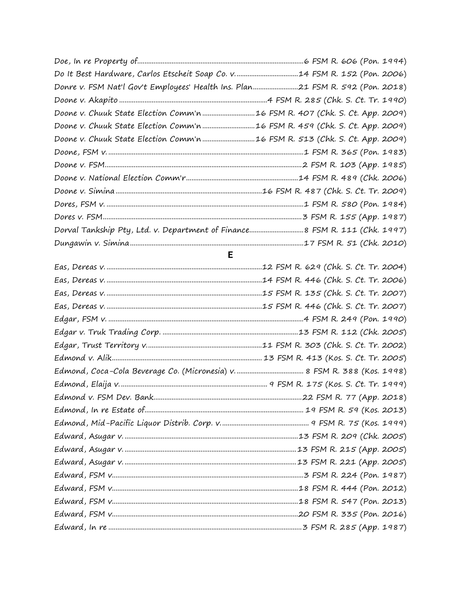| Donre v. FSM Nat'l Gov't Employees' Health Ins. Plan21 FSM R. 592 (Pon. 2018) |  |
|-------------------------------------------------------------------------------|--|
|                                                                               |  |
| Doone v. Chuuk State Election Comm'n 16 FSM R. 407 (Chk. S. Ct. App. 2009)    |  |
| Doone v. Chuuk State Election Comm'n 16 FSM R. 459 (Chk. S. Ct. App. 2009)    |  |
|                                                                               |  |
|                                                                               |  |
|                                                                               |  |
|                                                                               |  |
|                                                                               |  |
|                                                                               |  |
|                                                                               |  |
|                                                                               |  |
|                                                                               |  |
| $\blacksquare$                                                                |  |
|                                                                               |  |
|                                                                               |  |
|                                                                               |  |
|                                                                               |  |
|                                                                               |  |
|                                                                               |  |
|                                                                               |  |
|                                                                               |  |
|                                                                               |  |
|                                                                               |  |
|                                                                               |  |
|                                                                               |  |
|                                                                               |  |
|                                                                               |  |
|                                                                               |  |
|                                                                               |  |
|                                                                               |  |
|                                                                               |  |
|                                                                               |  |
|                                                                               |  |
|                                                                               |  |
|                                                                               |  |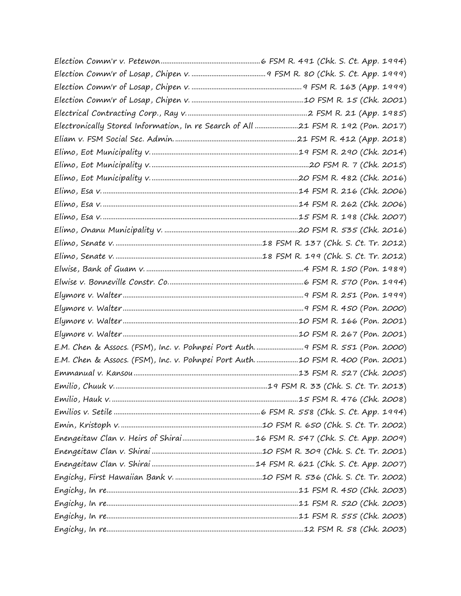| Electronically Stored Information, In re Search of All 21 FSM R. 192 (Pon. 2017) |  |
|----------------------------------------------------------------------------------|--|
|                                                                                  |  |
|                                                                                  |  |
|                                                                                  |  |
|                                                                                  |  |
|                                                                                  |  |
|                                                                                  |  |
|                                                                                  |  |
|                                                                                  |  |
|                                                                                  |  |
|                                                                                  |  |
|                                                                                  |  |
|                                                                                  |  |
|                                                                                  |  |
|                                                                                  |  |
|                                                                                  |  |
|                                                                                  |  |
| E.M. Chen & Assocs. (FSM), Inc. v. Pohnpei Port Auth 9 FSM R. 551 (Pon. 2000)    |  |
| E.M. Chen & Assocs. (FSM), Inc. v. Pohnpei Port Auth10 FSM R. 400 (Pon. 2001)    |  |
|                                                                                  |  |
|                                                                                  |  |
|                                                                                  |  |
|                                                                                  |  |
|                                                                                  |  |
|                                                                                  |  |
|                                                                                  |  |
|                                                                                  |  |
|                                                                                  |  |
|                                                                                  |  |
|                                                                                  |  |
|                                                                                  |  |
|                                                                                  |  |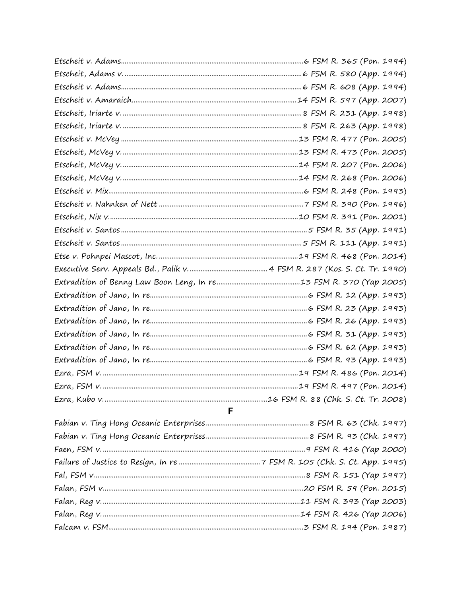| ٠ |
|---|
|   |
|   |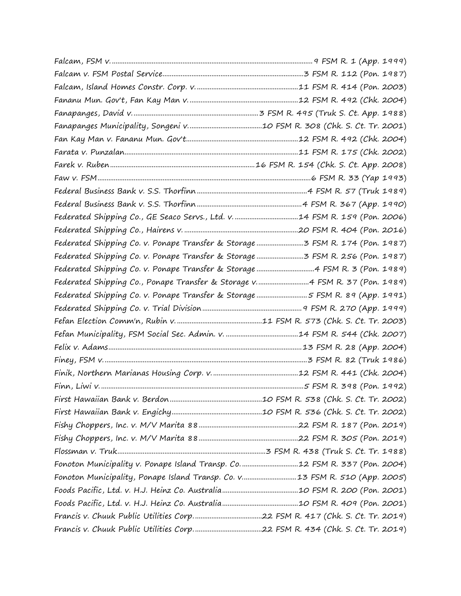| Federated Shipping Co., Ponape Transfer & Storage v 4 FSM R. 37 (Pon. 1989) |  |
|-----------------------------------------------------------------------------|--|
| Federated Shipping Co. v. Ponape Transfer & Storage 5 FSM R. 89 (App. 1991) |  |
|                                                                             |  |
|                                                                             |  |
|                                                                             |  |
|                                                                             |  |
|                                                                             |  |
|                                                                             |  |
|                                                                             |  |
|                                                                             |  |
|                                                                             |  |
|                                                                             |  |
|                                                                             |  |
|                                                                             |  |
| Fonoton Municipality v. Ponape Island Transp. Co12 FSM R. 337 (Pon. 2004)   |  |
| Fonoton Municipality, Ponape Island Transp. Co. v13 FSM R. 510 (App. 2005)  |  |
|                                                                             |  |
|                                                                             |  |
|                                                                             |  |
|                                                                             |  |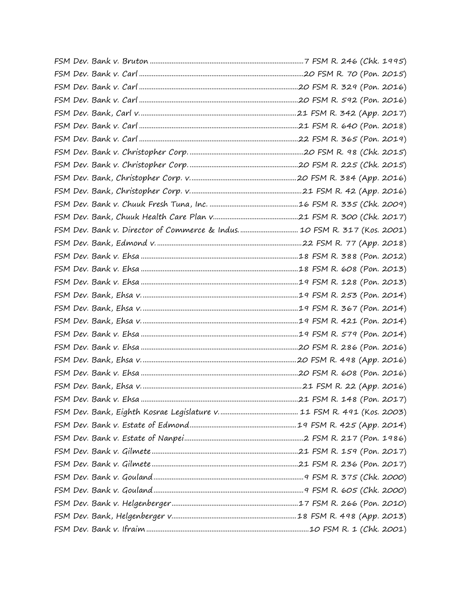| FSM Dev. Bank v. Director of Commerce & Indus 10 FSM R. 317 (Kos. 2001) |  |
|-------------------------------------------------------------------------|--|
|                                                                         |  |
|                                                                         |  |
|                                                                         |  |
|                                                                         |  |
|                                                                         |  |
|                                                                         |  |
|                                                                         |  |
|                                                                         |  |
|                                                                         |  |
|                                                                         |  |
|                                                                         |  |
|                                                                         |  |
|                                                                         |  |
|                                                                         |  |
|                                                                         |  |
|                                                                         |  |
|                                                                         |  |
|                                                                         |  |
|                                                                         |  |
|                                                                         |  |
|                                                                         |  |
|                                                                         |  |
|                                                                         |  |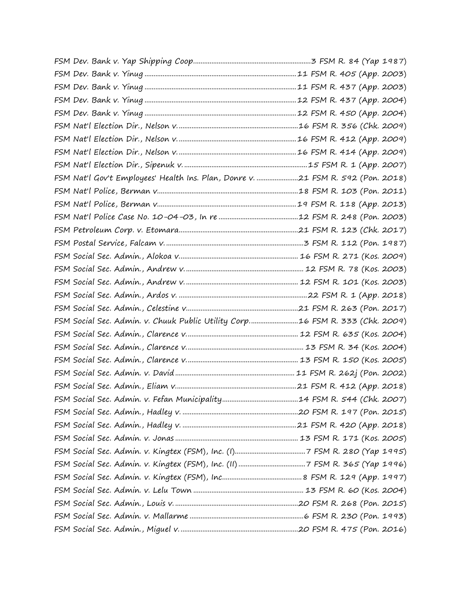| FSM Nat'l Gov't Employees' Health Ins. Plan, Donre v. 21 FSM R. 592 (Pon. 2018) |  |
|---------------------------------------------------------------------------------|--|
|                                                                                 |  |
|                                                                                 |  |
|                                                                                 |  |
|                                                                                 |  |
|                                                                                 |  |
|                                                                                 |  |
|                                                                                 |  |
|                                                                                 |  |
|                                                                                 |  |
|                                                                                 |  |
| FSM Social Sec. Admin. v. Chuuk Public Utility Corp16 FSM R. 333 (Chk. 2009)    |  |
|                                                                                 |  |
|                                                                                 |  |
|                                                                                 |  |
|                                                                                 |  |
|                                                                                 |  |
|                                                                                 |  |
|                                                                                 |  |
|                                                                                 |  |
|                                                                                 |  |
|                                                                                 |  |
|                                                                                 |  |
|                                                                                 |  |
|                                                                                 |  |
|                                                                                 |  |
|                                                                                 |  |
|                                                                                 |  |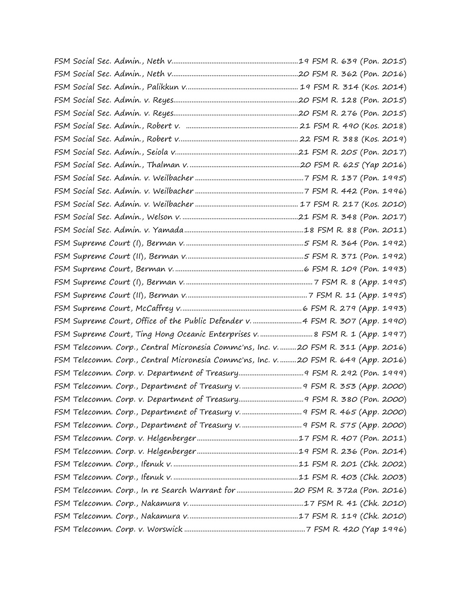| FSM Supreme Court, Office of the Public Defender v.  4 FSM R. 307 (App. 1990)        |  |
|--------------------------------------------------------------------------------------|--|
| FSM Supreme Court, Ting Hong Oceanic Enterprises v.  8 FSM R. 1 (App. 1997)          |  |
| FSM Telecomm. Corp., Central Micronesia Commc'ns, Inc. v. 20 FSM R. 311 (App. 2016)  |  |
| FSM Telecomm. Corp., Central Micronesia Commc'ns, Inc. v.  20 FSM R. 649 (App. 2016) |  |
|                                                                                      |  |
|                                                                                      |  |
|                                                                                      |  |
|                                                                                      |  |
|                                                                                      |  |
|                                                                                      |  |
|                                                                                      |  |
|                                                                                      |  |
|                                                                                      |  |
|                                                                                      |  |
|                                                                                      |  |
|                                                                                      |  |
|                                                                                      |  |
|                                                                                      |  |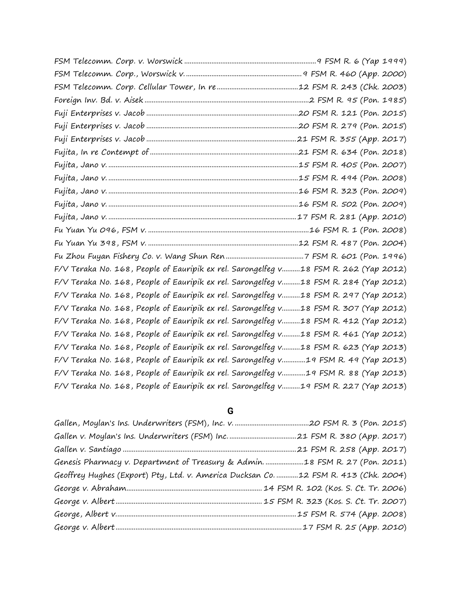| F/V Teraka No. 168, People of Eauripik ex rel. Sarongelfeg v18 FSM R. 262 (Yap 2012) |  |
|--------------------------------------------------------------------------------------|--|
| F/V Teraka No. 168, People of Eauripik ex rel. Sarongelfeg v18 FSM R. 284 (Yap 2012) |  |
| F/V Teraka No. 168, People of Eauripik ex rel. Sarongelfeg v18 FSM R. 297 (Yap 2012) |  |
| F/V Teraka No. 168, People of Eauripik ex rel. Sarongelfeg v18 FSM R. 307 (Yap 2012) |  |
| F/V Teraka No. 168, People of Eauripik ex rel. Sarongelfeg v18 FSM R. 412 (Yap 2012) |  |
| F/V Teraka No. 168, People of Eauripik ex rel. Sarongelfeg v18 FSM R. 461 (Yap 2012) |  |
| F/V Teraka No. 168, People of Eauripik ex rel. Sarongelfeg v18 FSM R. 623 (Yap 2013) |  |
| F/V Teraka No. 168, People of Eauripik ex rel. Sarongelfeg v19 FSM R. 49 (Yap 2013)  |  |
| F/V Teraka No. 168, People of Eauripik ex rel. Sarongelfeg v19 FSM R. 88 (Yap 2013)  |  |
| F/V Teraka No. 168, People of Eauripik ex rel. Sarongelfeg v19 FSM R. 227 (Yap 2013) |  |

## **G**

| Genesis Pharmacy v. Department of Treasury & Admin. 18 FSM R. 27 (Pon. 2011)        |  |
|-------------------------------------------------------------------------------------|--|
| Geoffrey Hughes (Export) Pty, Ltd. v. America Ducksan Co. 12 FSM R. 413 (Chk. 2004) |  |
|                                                                                     |  |
|                                                                                     |  |
|                                                                                     |  |
|                                                                                     |  |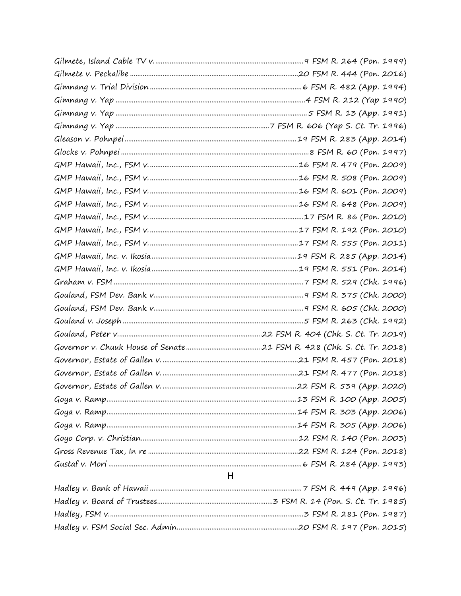| H |  |
|---|--|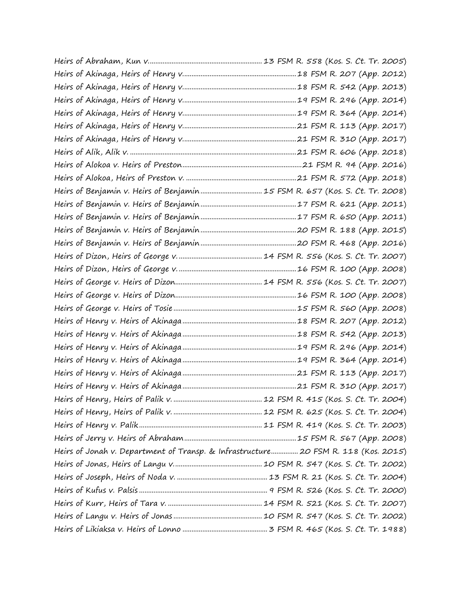| Heirs of Benjamin v. Heirs of Benjamin  15 FSM R. 657 (Kos. S. Ct. Tr. 2008)       |  |
|------------------------------------------------------------------------------------|--|
|                                                                                    |  |
|                                                                                    |  |
|                                                                                    |  |
|                                                                                    |  |
|                                                                                    |  |
|                                                                                    |  |
|                                                                                    |  |
|                                                                                    |  |
|                                                                                    |  |
|                                                                                    |  |
|                                                                                    |  |
|                                                                                    |  |
|                                                                                    |  |
|                                                                                    |  |
|                                                                                    |  |
|                                                                                    |  |
|                                                                                    |  |
|                                                                                    |  |
|                                                                                    |  |
| Heirs of Jonah v. Department of Transp. & Infrastructure 20 FSM R. 118 (Kos. 2015) |  |
|                                                                                    |  |
|                                                                                    |  |
|                                                                                    |  |
|                                                                                    |  |
|                                                                                    |  |
|                                                                                    |  |
|                                                                                    |  |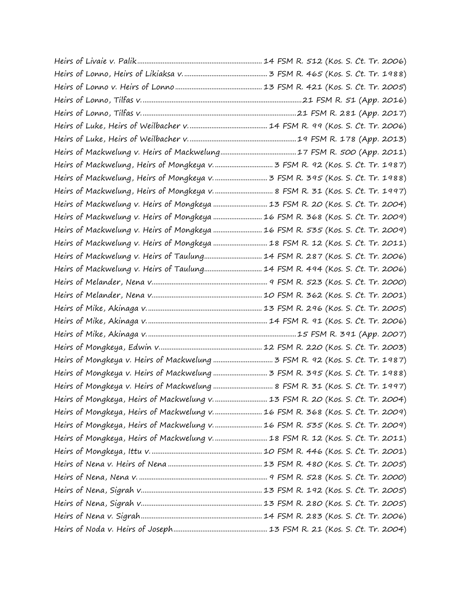| Heirs of Mackwelung, Heirs of Mongkeya v.  8 FSM R. 31 (Kos. S. Ct. Tr. 1997)   |  |
|---------------------------------------------------------------------------------|--|
| Heirs of Mackwelung v. Heirs of Mongkeya  13 FSM R. 20 (Kos. S. Ct. Tr. 2004)   |  |
| Heirs of Mackwelung v. Heirs of Mongkeya  16 FSM R. 368 (Kos. S. Ct. Tr. 2009)  |  |
| Heirs of Mackwelung v. Heirs of Mongkeya  16 FSM R. 535 (Kos. S. Ct. Tr. 2009)  |  |
| Heirs of Mackwelung v. Heirs of Mongkeya  18 FSM R. 12 (Kos. S. Ct. Tr. 2011)   |  |
| Heirs of Mackwelung v. Heirs of Taulung 14 FSM R. 287 (Kos. S. Ct. Tr. 2006)    |  |
| Heirs of Mackwelung v. Heirs of Taulung 14 FSM R. 494 (Kos. S. Ct. Tr. 2006)    |  |
|                                                                                 |  |
|                                                                                 |  |
|                                                                                 |  |
|                                                                                 |  |
|                                                                                 |  |
|                                                                                 |  |
|                                                                                 |  |
|                                                                                 |  |
| Heirs of Mongkeya v. Heirs of Mackwelung  8 FSM R. 31 (Kos. S. Ct. Tr. 1997)    |  |
| Heirs of Mongkeya, Heirs of Mackwelung v.  13 FSM R. 20 (Kos. S. Ct. Tr. 2004)  |  |
| Heirs of Mongkeya, Heirs of Mackwelung v.  16 FSM R. 368 (Kos. S. Ct. Tr. 2009) |  |
| Heirs of Mongkeya, Heirs of Mackwelung v.  16 FSM R. 535 (Kos. S. Ct. Tr. 2009) |  |
| Heirs of Mongkeya, Heirs of Mackwelung v.  18 FSM R. 12 (Kos. S. Ct. Tr. 2011)  |  |
|                                                                                 |  |
|                                                                                 |  |
|                                                                                 |  |
|                                                                                 |  |
|                                                                                 |  |
|                                                                                 |  |
|                                                                                 |  |
|                                                                                 |  |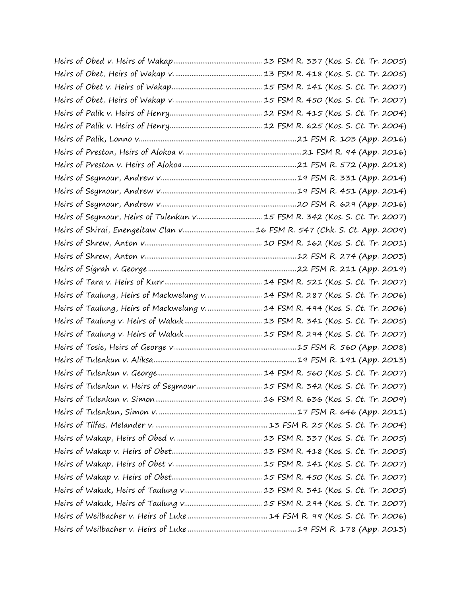| Heirs of Seymour, Heirs of Tulenkun v 15 FSM R. 342 (Kos. S. Ct. Tr. 2007)     |
|--------------------------------------------------------------------------------|
|                                                                                |
|                                                                                |
|                                                                                |
|                                                                                |
|                                                                                |
| Heirs of Taulung, Heirs of Mackwelung v.  14 FSM R. 287 (Kos. S. Ct. Tr. 2006) |
| Heirs of Taulung, Heirs of Mackwelung v.  14 FSM R. 494 (Kos. S. Ct. Tr. 2006) |
|                                                                                |
|                                                                                |
|                                                                                |
|                                                                                |
|                                                                                |
|                                                                                |
|                                                                                |
|                                                                                |
|                                                                                |
|                                                                                |
|                                                                                |
|                                                                                |
|                                                                                |
|                                                                                |
|                                                                                |
|                                                                                |
|                                                                                |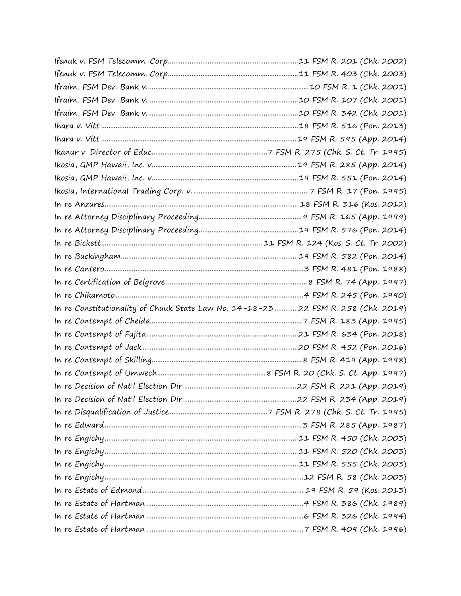| In re Constitutionality of Chuuk State Law No. 14-18-23 22 FSM R. 258 (Chk. 2019) |  |
|-----------------------------------------------------------------------------------|--|
|                                                                                   |  |
|                                                                                   |  |
|                                                                                   |  |
|                                                                                   |  |
|                                                                                   |  |
|                                                                                   |  |
|                                                                                   |  |
|                                                                                   |  |
|                                                                                   |  |
|                                                                                   |  |
|                                                                                   |  |
|                                                                                   |  |
|                                                                                   |  |
|                                                                                   |  |
|                                                                                   |  |
|                                                                                   |  |
|                                                                                   |  |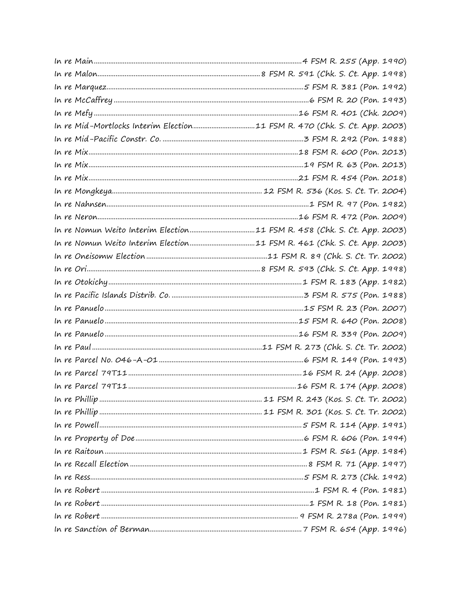| In re Mid-Mortlocks Interim Election11 FSM R. 470 (Chk. S. Ct. App. 2003) |  |
|---------------------------------------------------------------------------|--|
|                                                                           |  |
|                                                                           |  |
|                                                                           |  |
|                                                                           |  |
|                                                                           |  |
|                                                                           |  |
|                                                                           |  |
|                                                                           |  |
|                                                                           |  |
|                                                                           |  |
|                                                                           |  |
|                                                                           |  |
|                                                                           |  |
|                                                                           |  |
|                                                                           |  |
|                                                                           |  |
|                                                                           |  |
|                                                                           |  |
|                                                                           |  |
|                                                                           |  |
|                                                                           |  |
|                                                                           |  |
|                                                                           |  |
|                                                                           |  |
|                                                                           |  |
|                                                                           |  |
|                                                                           |  |
|                                                                           |  |
|                                                                           |  |
|                                                                           |  |
|                                                                           |  |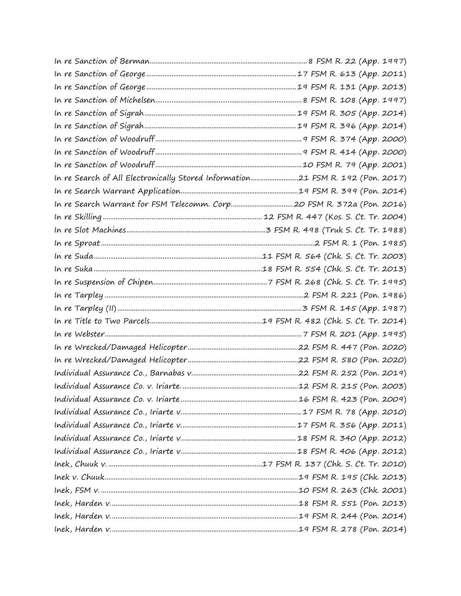| In re Search of All Electronically Stored Information21 FSM R. 192 (Pon. 2017) |  |
|--------------------------------------------------------------------------------|--|
|                                                                                |  |
|                                                                                |  |
|                                                                                |  |
|                                                                                |  |
|                                                                                |  |
|                                                                                |  |
|                                                                                |  |
|                                                                                |  |
|                                                                                |  |
|                                                                                |  |
|                                                                                |  |
|                                                                                |  |
|                                                                                |  |
|                                                                                |  |
|                                                                                |  |
|                                                                                |  |
|                                                                                |  |
|                                                                                |  |
|                                                                                |  |
|                                                                                |  |
|                                                                                |  |
|                                                                                |  |
|                                                                                |  |
|                                                                                |  |
|                                                                                |  |
|                                                                                |  |
|                                                                                |  |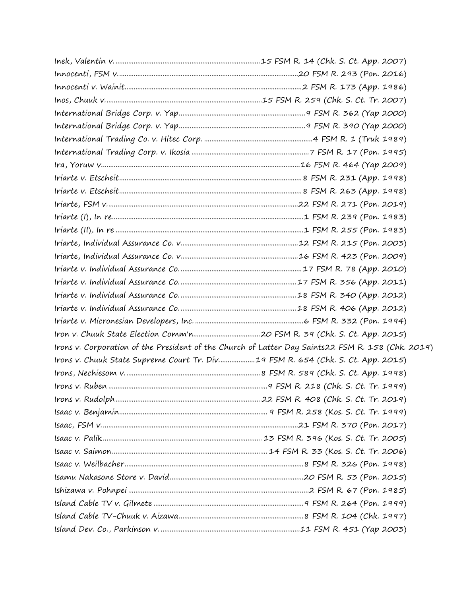|                                                                                 | Irons v. Corporation of the President of the Church of Latter Day Saints22 FSM R. 158 (Chk. 2019) |
|---------------------------------------------------------------------------------|---------------------------------------------------------------------------------------------------|
| Irons v. Chuuk State Supreme Court Tr. Div19 FSM R. 654 (Chk. S. Ct. App. 2015) |                                                                                                   |
|                                                                                 |                                                                                                   |
|                                                                                 |                                                                                                   |
|                                                                                 |                                                                                                   |
|                                                                                 |                                                                                                   |
|                                                                                 |                                                                                                   |
|                                                                                 |                                                                                                   |
|                                                                                 |                                                                                                   |
|                                                                                 |                                                                                                   |
|                                                                                 |                                                                                                   |
|                                                                                 |                                                                                                   |
|                                                                                 |                                                                                                   |
|                                                                                 |                                                                                                   |
|                                                                                 |                                                                                                   |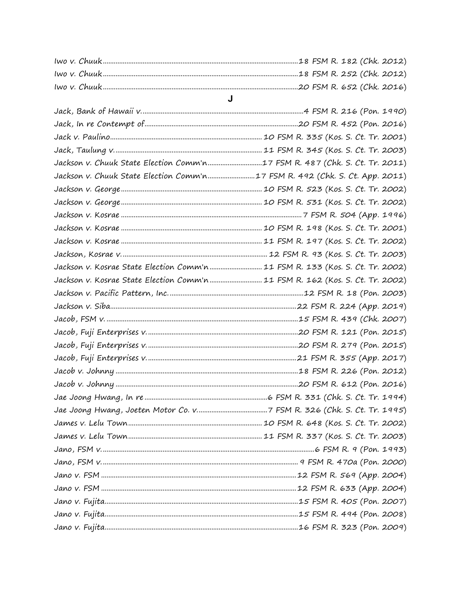| Jackson v. Chuuk State Election Comm'n17 FSM R. 487 (Chk. S. Ct. Tr. 2011)    |
|-------------------------------------------------------------------------------|
| Jackson v. Chuuk State Election Comm'n17 FSM R. 492 (Chk. S. Ct. App. 2011)   |
|                                                                               |
|                                                                               |
|                                                                               |
|                                                                               |
|                                                                               |
|                                                                               |
| Jackson v. Kosrae State Election Comm'n  11 FSM R. 133 (Kos. S. Ct. Tr. 2002) |
| Jackson v. Kosrae State Election Comm'n 11 FSM R. 162 (Kos. S. Ct. Tr. 2002)  |
|                                                                               |
|                                                                               |
|                                                                               |
|                                                                               |
|                                                                               |
|                                                                               |
|                                                                               |
|                                                                               |
|                                                                               |
|                                                                               |
|                                                                               |
|                                                                               |
|                                                                               |
|                                                                               |
|                                                                               |
|                                                                               |
|                                                                               |
|                                                                               |
|                                                                               |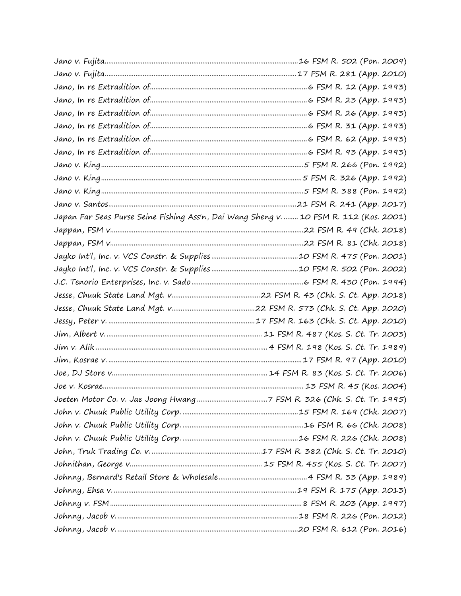| Japan Far Seas Purse Seine Fishing Ass'n, Dai Wang Sheng v.  10 FSM R. 112 (Kos. 2001) |  |
|----------------------------------------------------------------------------------------|--|
|                                                                                        |  |
|                                                                                        |  |
|                                                                                        |  |
|                                                                                        |  |
|                                                                                        |  |
|                                                                                        |  |
|                                                                                        |  |
|                                                                                        |  |
|                                                                                        |  |
|                                                                                        |  |
|                                                                                        |  |
|                                                                                        |  |
|                                                                                        |  |
|                                                                                        |  |
|                                                                                        |  |
|                                                                                        |  |
|                                                                                        |  |
|                                                                                        |  |
|                                                                                        |  |
|                                                                                        |  |
|                                                                                        |  |
|                                                                                        |  |
|                                                                                        |  |
|                                                                                        |  |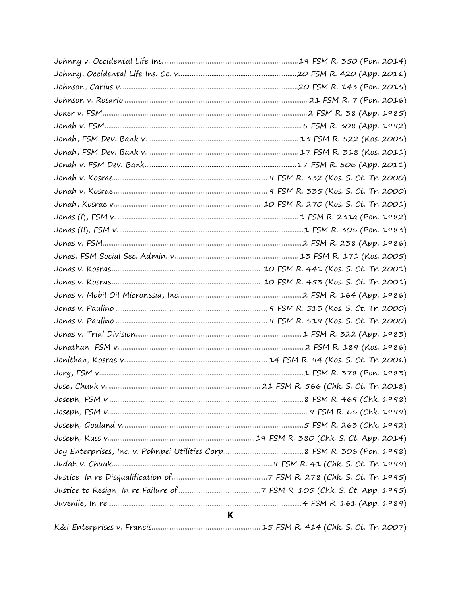| K |  |
|---|--|
|   |  |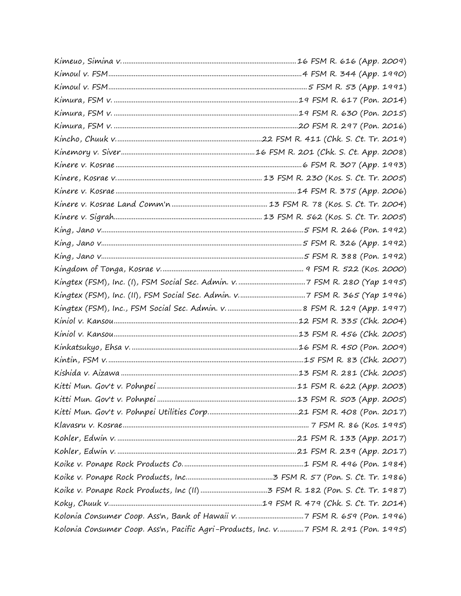| Kolonia Consumer Coop. Ass'n, Pacific Agri-Products, Inc. v. 7 FSM R. 291 (Pon. 1995) |  |
|---------------------------------------------------------------------------------------|--|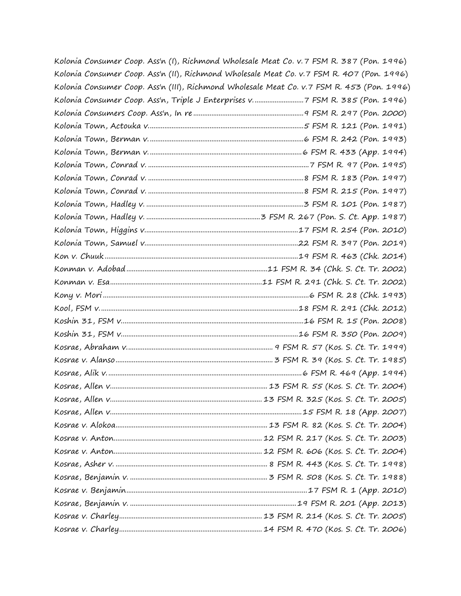| Kolonia Consumer Coop. Ass'n (I), Richmond Wholesale Meat Co. v. 7 FSM R. 387 (Pon. 1996)  |  |
|--------------------------------------------------------------------------------------------|--|
| Kolonia Consumer Coop. Ass'n (II), Richmond Wholesale Meat Co. v.7 FSM R. 407 (Pon. 1996)  |  |
| Kolonia Consumer Coop. Ass'n (III), Richmond Wholesale Meat Co. v.7 FSM R. 453 (Pon. 1996) |  |
| Kolonia Consumer Coop. Ass'n, Triple J Enterprises v7 FSM R. 385 (Pon. 1996)               |  |
|                                                                                            |  |
|                                                                                            |  |
|                                                                                            |  |
|                                                                                            |  |
|                                                                                            |  |
|                                                                                            |  |
|                                                                                            |  |
|                                                                                            |  |
|                                                                                            |  |
|                                                                                            |  |
|                                                                                            |  |
|                                                                                            |  |
|                                                                                            |  |
|                                                                                            |  |
|                                                                                            |  |
|                                                                                            |  |
|                                                                                            |  |
|                                                                                            |  |
|                                                                                            |  |
|                                                                                            |  |
|                                                                                            |  |
|                                                                                            |  |
|                                                                                            |  |
|                                                                                            |  |
|                                                                                            |  |
|                                                                                            |  |
|                                                                                            |  |
|                                                                                            |  |
|                                                                                            |  |
|                                                                                            |  |
|                                                                                            |  |
|                                                                                            |  |
|                                                                                            |  |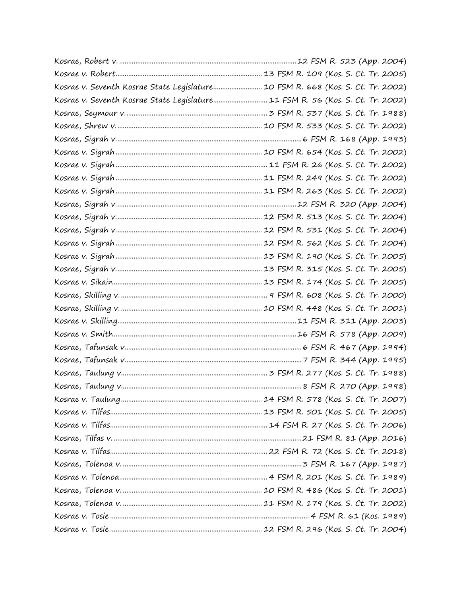| Kosrae v. Seventh Kosrae State Legislature 10 FSM R. 668 (Kos. S. Ct. Tr. 2002) |
|---------------------------------------------------------------------------------|
| Kosrae v. Seventh Kosrae State Legislature 11 FSM R. 56 (Kos. S. Ct. Tr. 2002)  |
|                                                                                 |
|                                                                                 |
|                                                                                 |
|                                                                                 |
|                                                                                 |
|                                                                                 |
|                                                                                 |
|                                                                                 |
|                                                                                 |
|                                                                                 |
|                                                                                 |
|                                                                                 |
|                                                                                 |
|                                                                                 |
|                                                                                 |
|                                                                                 |
|                                                                                 |
|                                                                                 |
|                                                                                 |
|                                                                                 |
|                                                                                 |
|                                                                                 |
|                                                                                 |
|                                                                                 |
|                                                                                 |
|                                                                                 |
|                                                                                 |
|                                                                                 |
|                                                                                 |
|                                                                                 |
|                                                                                 |
|                                                                                 |
|                                                                                 |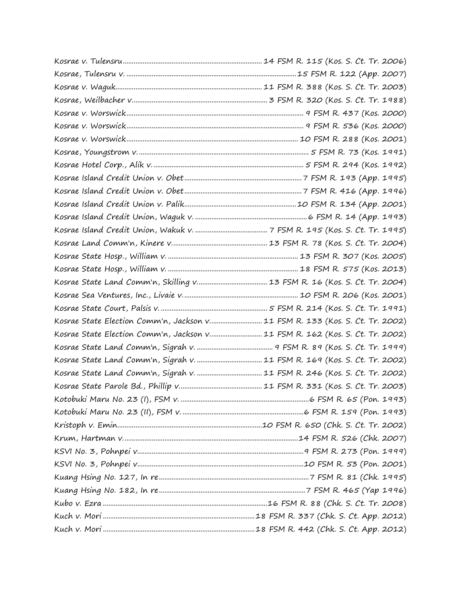| Kosrae State Election Comm'n, Jackson v 11 FSM R. 133 (Kos. S. Ct. Tr. 2002) |
|------------------------------------------------------------------------------|
| Kosrae State Election Comm'n, Jackson v 11 FSM R. 162 (Kos. S. Ct. Tr. 2002) |
|                                                                              |
|                                                                              |
|                                                                              |
|                                                                              |
|                                                                              |
|                                                                              |
|                                                                              |
|                                                                              |
|                                                                              |
|                                                                              |
|                                                                              |
|                                                                              |
|                                                                              |
|                                                                              |
|                                                                              |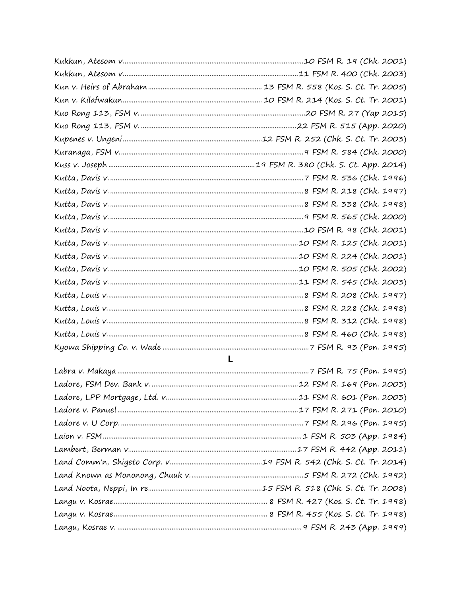| $\mathbf{L}$ |  |  |  |
|--------------|--|--|--|
|              |  |  |  |
|              |  |  |  |
|              |  |  |  |
|              |  |  |  |
|              |  |  |  |
|              |  |  |  |
|              |  |  |  |
|              |  |  |  |
|              |  |  |  |
|              |  |  |  |
|              |  |  |  |
|              |  |  |  |
|              |  |  |  |
|              |  |  |  |
|              |  |  |  |
|              |  |  |  |
|              |  |  |  |
|              |  |  |  |
|              |  |  |  |
|              |  |  |  |
|              |  |  |  |
|              |  |  |  |
|              |  |  |  |
|              |  |  |  |
|              |  |  |  |
|              |  |  |  |
|              |  |  |  |
|              |  |  |  |
|              |  |  |  |
|              |  |  |  |
|              |  |  |  |
|              |  |  |  |
|              |  |  |  |
|              |  |  |  |
|              |  |  |  |
|              |  |  |  |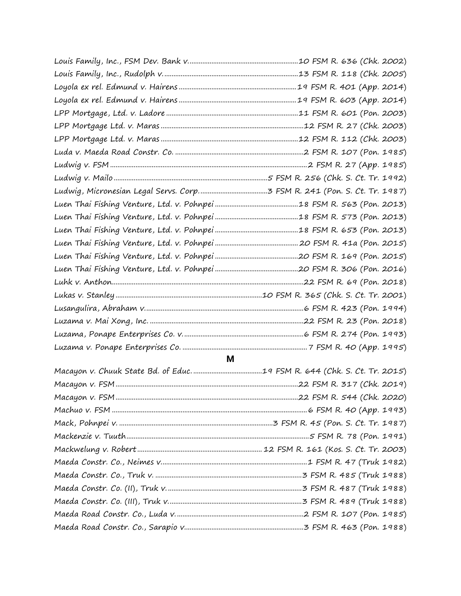## **M**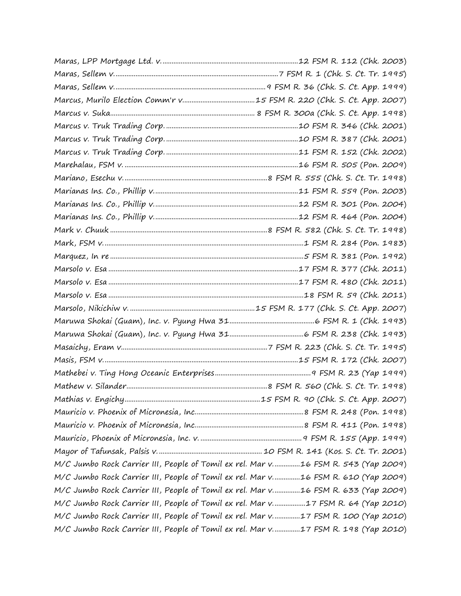| M/C Jumbo Rock Carrier III, People of Tomil ex rel. Mar v16 FSM R. 543 (Yap 2009) |  |
|-----------------------------------------------------------------------------------|--|
| M/C Jumbo Rock Carrier III, People of Tomil ex rel. Mar v16 FSM R. 610 (Yap 2009) |  |
| M/C Jumbo Rock Carrier III, People of Tomil ex rel. Mar v16 FSM R. 633 (Yap 2009) |  |
| M/C Jumbo Rock Carrier III, People of Tomil ex rel. Mar v17 FSM R. 64 (Yap 2010)  |  |
| M/C Jumbo Rock Carrier III, People of Tomil ex rel. Mar v17 FSM R. 100 (Yap 2010) |  |
| M/C Jumbo Rock Carrier III, People of Tomil ex rel. Mar v17 FSM R. 198 (Yap 2010) |  |
|                                                                                   |  |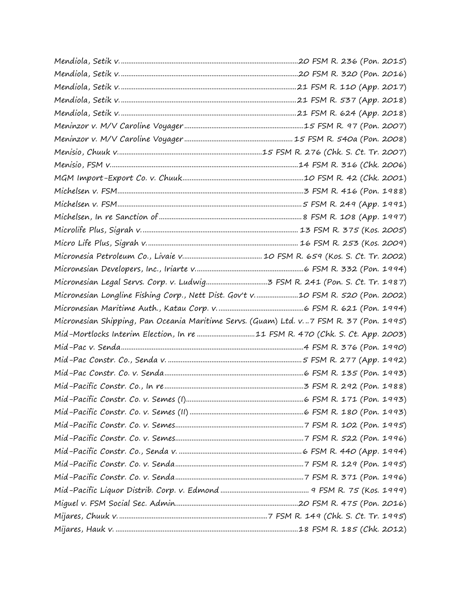| Micronesian Longline Fishing Corp., Nett Dist. Gov't v10 FSM R. 520 (Pon. 2002)          |  |
|------------------------------------------------------------------------------------------|--|
|                                                                                          |  |
| Micronesian Shipping, Pan Oceania Maritime Servs. (Guam) Ltd. v. 7 FSM R. 37 (Pon. 1995) |  |
| Mid-Mortlocks Interim Election, In re 11 FSM R. 470 (Chk. S. Ct. App. 2003)              |  |
|                                                                                          |  |
|                                                                                          |  |
|                                                                                          |  |
|                                                                                          |  |
|                                                                                          |  |
|                                                                                          |  |
|                                                                                          |  |
|                                                                                          |  |
|                                                                                          |  |
|                                                                                          |  |
|                                                                                          |  |
|                                                                                          |  |
|                                                                                          |  |
|                                                                                          |  |
|                                                                                          |  |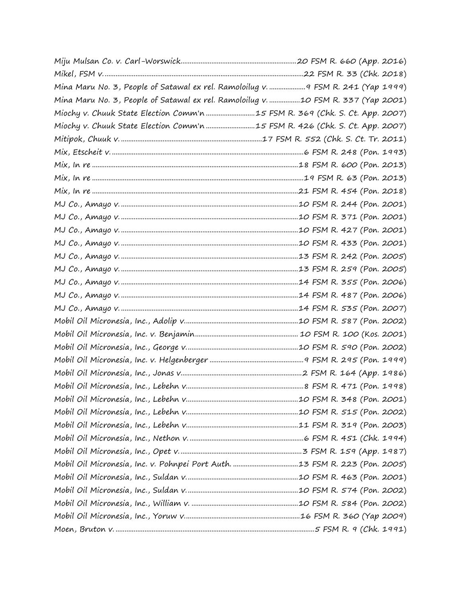| Mina Maru No. 3, People of Satawal ex rel. Ramoloilug v.  9 FSM R. 241 (Yap 1999) |  |
|-----------------------------------------------------------------------------------|--|
| Mina Maru No. 3, People of Satawal ex rel. Ramoloilug v. 10 FSM R. 337 (Yap 2001) |  |
| Miochy v. Chuuk State Election Comm'n 15 FSM R. 369 (Chk. S. Ct. App. 2007)       |  |
| Miochy v. Chuuk State Election Comm'n 15 FSM R. 426 (Chk. S. Ct. App. 2007)       |  |
|                                                                                   |  |
|                                                                                   |  |
|                                                                                   |  |
|                                                                                   |  |
|                                                                                   |  |
|                                                                                   |  |
|                                                                                   |  |
|                                                                                   |  |
|                                                                                   |  |
|                                                                                   |  |
|                                                                                   |  |
|                                                                                   |  |
|                                                                                   |  |
|                                                                                   |  |
|                                                                                   |  |
|                                                                                   |  |
|                                                                                   |  |
|                                                                                   |  |
|                                                                                   |  |
|                                                                                   |  |
|                                                                                   |  |
|                                                                                   |  |
|                                                                                   |  |
|                                                                                   |  |
|                                                                                   |  |
|                                                                                   |  |
|                                                                                   |  |
|                                                                                   |  |
|                                                                                   |  |
|                                                                                   |  |
|                                                                                   |  |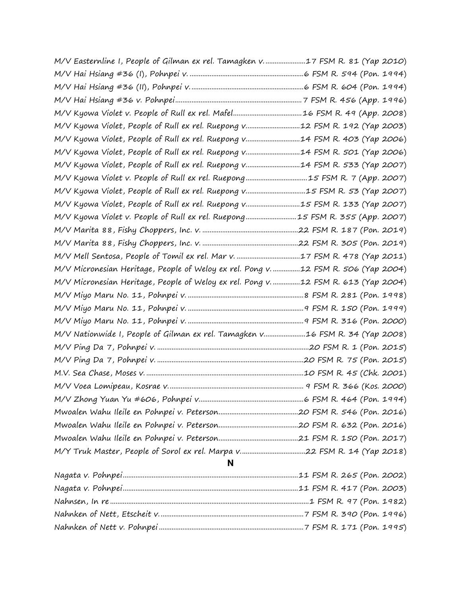| N                                                                                  |  |
|------------------------------------------------------------------------------------|--|
|                                                                                    |  |
|                                                                                    |  |
|                                                                                    |  |
|                                                                                    |  |
|                                                                                    |  |
|                                                                                    |  |
|                                                                                    |  |
|                                                                                    |  |
|                                                                                    |  |
| M/V Nationwide I, People of Gilman ex rel. Tamagken v16 FSM R. 34 (Yap 2008)       |  |
|                                                                                    |  |
|                                                                                    |  |
|                                                                                    |  |
| M/V Micronesian Heritage, People of Weloy ex rel. Pong v. 12 FSM R. 613 (Yap 2004) |  |
| M/V Micronesian Heritage, People of Weloy ex rel. Pong v12 FSM R. 506 (Yap 2004)   |  |
|                                                                                    |  |
|                                                                                    |  |
|                                                                                    |  |
| M/V Kyowa Violet v. People of Rull ex rel. Ruepong15 FSM R. 355 (App. 2007)        |  |
| M/V Kyowa Violet, People of Rull ex rel. Ruepong v15 FSM R. 133 (Yap 2007)         |  |
| M/V Kyowa Violet, People of Rull ex rel. Ruepong v15 FSM R. 53 (Yap 2007)          |  |
|                                                                                    |  |
| M/V Kyowa Violet, People of Rull ex rel. Ruepong v14 FSM R. 533 (Yap 2007)         |  |
| M/V Kyowa Violet, People of Rull ex rel. Ruepong v14 FSM R. 501 (Yap 2006)         |  |
| M/V Kyowa Violet, People of Rull ex rel. Ruepong v14 FSM R. 403 (Yap 2006)         |  |
| M/V Kyowa Violet, People of Rull ex rel. Ruepong v12 FSM R. 192 (Yap 2003)         |  |
|                                                                                    |  |
|                                                                                    |  |
|                                                                                    |  |
|                                                                                    |  |
| M/V Easternline I, People of Gilman ex rel. Tamagken v17 FSM R. 81 (Yap 2010)      |  |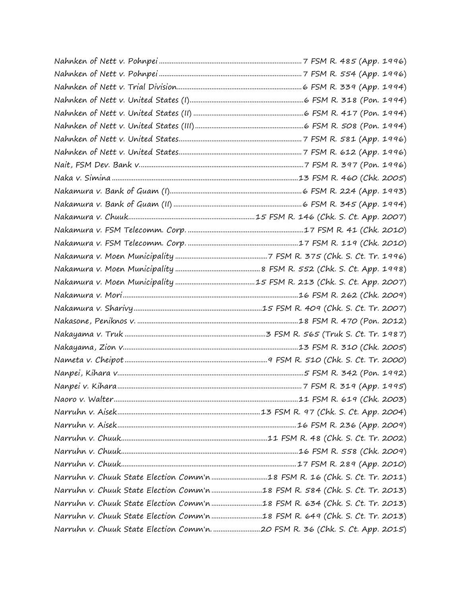| Narruhn v. Chuuk State Election Comm'n 18 FSM R. 16 (Chk. S. Ct. Tr. 2011)  |  |
|-----------------------------------------------------------------------------|--|
| Narruhn v. Chuuk State Election Comm'n 18 FSM R. 584 (Chk. S. Ct. Tr. 2013) |  |
| Narruhn v. Chuuk State Election Comm'n 18 FSM R. 634 (Chk. S. Ct. Tr. 2013) |  |
| Narruhn v. Chuuk State Election Comm'n 18 FSM R. 649 (Chk. S. Ct. Tr. 2013) |  |
|                                                                             |  |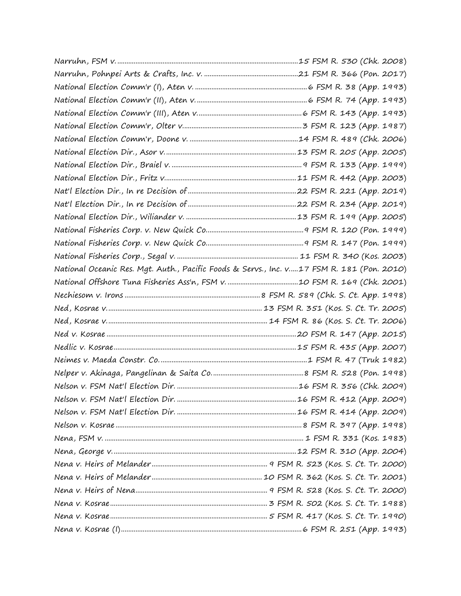| National Oceanic Res. Mgt. Auth., Pacific Foods & Servs., Inc. v17 FSM R. 181 (Pon. 2010) |  |
|-------------------------------------------------------------------------------------------|--|
|                                                                                           |  |
|                                                                                           |  |
|                                                                                           |  |
|                                                                                           |  |
|                                                                                           |  |
|                                                                                           |  |
|                                                                                           |  |
|                                                                                           |  |
|                                                                                           |  |
|                                                                                           |  |
|                                                                                           |  |
|                                                                                           |  |
|                                                                                           |  |
|                                                                                           |  |
|                                                                                           |  |
|                                                                                           |  |
|                                                                                           |  |
|                                                                                           |  |
|                                                                                           |  |
|                                                                                           |  |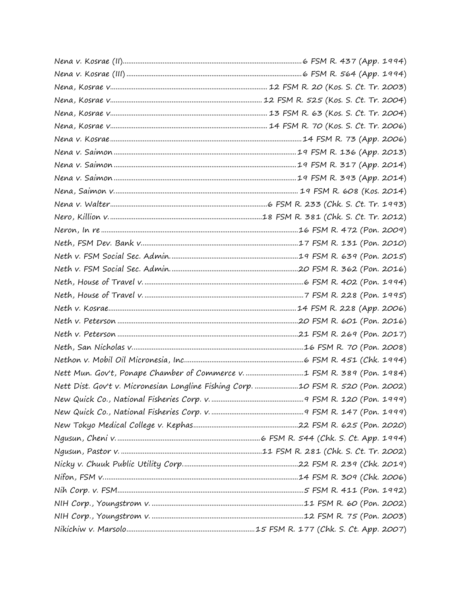| Nett Mun. Gov't, Ponape Chamber of Commerce v. 1 FSM R. 389 (Pon. 1984)          |  |
|----------------------------------------------------------------------------------|--|
| Nett Dist. Gov't v. Micronesian Longline Fishing Corp. 10 FSM R. 520 (Pon. 2002) |  |
|                                                                                  |  |
|                                                                                  |  |
|                                                                                  |  |
|                                                                                  |  |
|                                                                                  |  |
|                                                                                  |  |
|                                                                                  |  |
|                                                                                  |  |
|                                                                                  |  |
|                                                                                  |  |
|                                                                                  |  |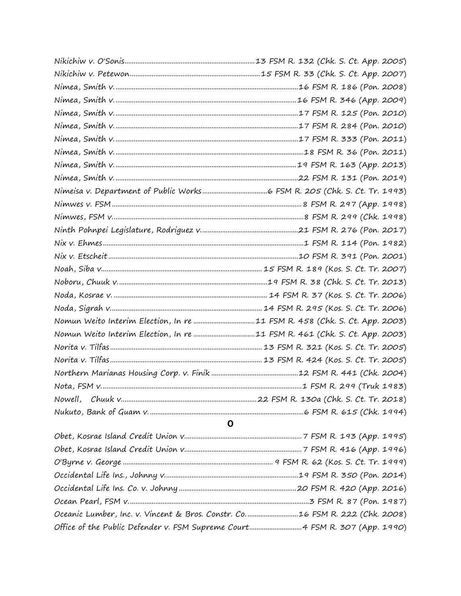| Nomun Weito Interim Election, In re 11 FSM R. 458 (Chk. S. Ct. App. 2003)                                                                                                                                                                                                                                                                                                          |
|------------------------------------------------------------------------------------------------------------------------------------------------------------------------------------------------------------------------------------------------------------------------------------------------------------------------------------------------------------------------------------|
| Nomun Weito Interim Election, In re 11 FSM R. 461 (Chk. S. Ct. App. 2003)                                                                                                                                                                                                                                                                                                          |
|                                                                                                                                                                                                                                                                                                                                                                                    |
|                                                                                                                                                                                                                                                                                                                                                                                    |
|                                                                                                                                                                                                                                                                                                                                                                                    |
|                                                                                                                                                                                                                                                                                                                                                                                    |
|                                                                                                                                                                                                                                                                                                                                                                                    |
|                                                                                                                                                                                                                                                                                                                                                                                    |
| O                                                                                                                                                                                                                                                                                                                                                                                  |
|                                                                                                                                                                                                                                                                                                                                                                                    |
| $\alpha$ , $\beta$ , $\beta$ , $\beta$ , $\beta$ , $\beta$ , $\beta$ , $\beta$ , $\beta$ , $\beta$ , $\beta$ , $\beta$ , $\beta$ , $\beta$ , $\beta$ , $\beta$ , $\beta$ , $\beta$ , $\beta$ , $\beta$ , $\beta$ , $\beta$ , $\beta$ , $\beta$ , $\beta$ , $\beta$ , $\beta$ , $\beta$ , $\beta$ , $\beta$ , $\beta$ , $\beta$ , $\beta$ , $\beta$ , $\beta$ , $\beta$ , $\beta$ , |

| Oceanic Lumber, Inc. v. Vincent & Bros. Constr. Co16 FSM R. 222 (Chk. 2008) |  |
|-----------------------------------------------------------------------------|--|
| Office of the Public Defender v. FSM Supreme Court 4 FSM R. 307 (App. 1990) |  |
|                                                                             |  |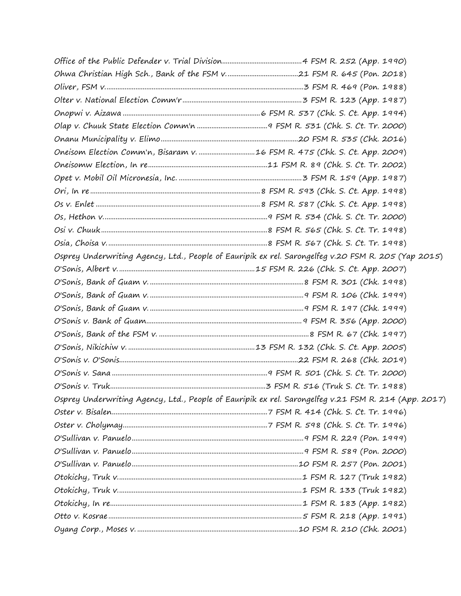| Osprey Underwriting Agency, Ltd., People of Eauripik ex rel. Sarongelfeg v.20 FSM R. 205 (Yap 2015)  |
|------------------------------------------------------------------------------------------------------|
|                                                                                                      |
|                                                                                                      |
|                                                                                                      |
|                                                                                                      |
|                                                                                                      |
|                                                                                                      |
|                                                                                                      |
|                                                                                                      |
|                                                                                                      |
|                                                                                                      |
| Osprey Underwriting Agency, Ltd., People of Eauripik ex rel. Sarongelfeg v.21 FSM R. 214 (App. 2017) |
|                                                                                                      |
|                                                                                                      |
|                                                                                                      |
|                                                                                                      |
|                                                                                                      |
|                                                                                                      |
|                                                                                                      |
|                                                                                                      |
|                                                                                                      |
|                                                                                                      |
|                                                                                                      |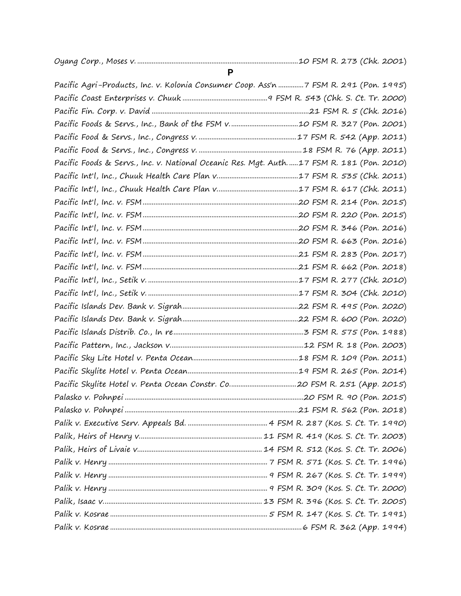| <b>P</b>                                                                                 |  |
|------------------------------------------------------------------------------------------|--|
| Pacific Agri-Products, Inc. v. Kolonia Consumer Coop. Ass'n 7 FSM R. 291 (Pon. 1995)     |  |
|                                                                                          |  |
|                                                                                          |  |
|                                                                                          |  |
|                                                                                          |  |
|                                                                                          |  |
| Pacific Foods & Servs., Inc. v. National Oceanic Res. Mgt. Auth17 FSM R. 181 (Pon. 2010) |  |
|                                                                                          |  |
|                                                                                          |  |
|                                                                                          |  |
|                                                                                          |  |
|                                                                                          |  |
|                                                                                          |  |
|                                                                                          |  |
|                                                                                          |  |
|                                                                                          |  |
|                                                                                          |  |
|                                                                                          |  |
|                                                                                          |  |
|                                                                                          |  |
|                                                                                          |  |
|                                                                                          |  |
|                                                                                          |  |
|                                                                                          |  |
|                                                                                          |  |
|                                                                                          |  |
|                                                                                          |  |
|                                                                                          |  |
|                                                                                          |  |
|                                                                                          |  |
|                                                                                          |  |
|                                                                                          |  |
|                                                                                          |  |
|                                                                                          |  |
|                                                                                          |  |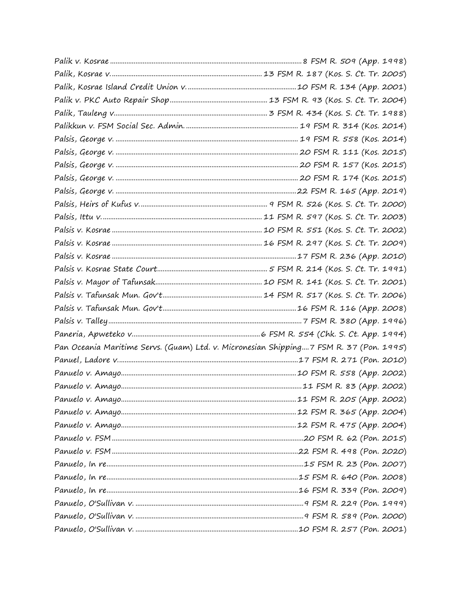| Pan Oceania Maritime Servs. (Guam) Ltd. v. Micronesian Shipping7 FSM R. 37 (Pon. 1995) |  |
|----------------------------------------------------------------------------------------|--|
|                                                                                        |  |
|                                                                                        |  |
|                                                                                        |  |
|                                                                                        |  |
|                                                                                        |  |
|                                                                                        |  |
|                                                                                        |  |
|                                                                                        |  |
|                                                                                        |  |
|                                                                                        |  |
|                                                                                        |  |
|                                                                                        |  |
|                                                                                        |  |
|                                                                                        |  |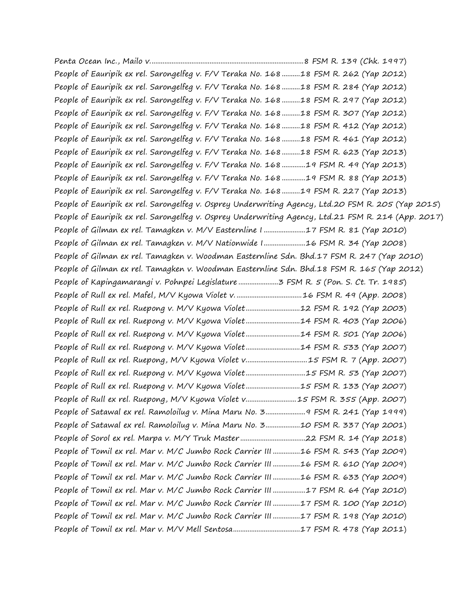Penta Ocean Inc., Mailo v.....................................................................................8 FSM R. 139 (Chk. 1997) People of Eauripik ex rel. Sarongelfeg v. F/V Teraka No. 168..........18 FSM R. 262 (Yap 2012) People of Eauripik ex rel. Sarongelfeg v. F/V Teraka No. 168..........18 FSM R. 284 (Yap 2012) People of Eauripik ex rel. Sarongelfeg v. F/V Teraka No. 168..........18 FSM R. 297 (Yap 2012) People of Eauripik ex rel. Sarongelfeg v. F/V Teraka No. 168..........18 FSM R. 307 (Yap 2012) People of Eauripik ex rel. Sarongelfeg v. F/V Teraka No. 168..........18 FSM R. 412 (Yap 2012) People of Eauripik ex rel. Sarongelfeg v. F/V Teraka No. 168..........18 FSM R. 461 (Yap 2012) People of Eauripik ex rel. Sarongelfeg v. F/V Teraka No. 168..........18 FSM R. 623 (Yap 2013) People of Eauripik ex rel. Sarongelfeg v. F/V Teraka No. 168.............19 FSM R. 49 (Yap 2013) People of Eauripik ex rel. Sarongelfeg v. F/V Teraka No. 168.............19 FSM R. 88 (Yap 2013) People of Eauripik ex rel. Sarongelfeg v. F/V Teraka No. 168..........19 FSM R. 227 (Yap 2013) People of Eauripik ex rel. Sarongelfeg v. Osprey Underwriting Agency, Ltd.20 FSM R. 205 (Yap 2015) People of Eauripik ex rel. Sarongelfeg v. Osprey Underwriting Agency, Ltd.21 FSM R. 214 (App. 2017) People of Gilman ex rel. Tamagken v. M/V Easternline I .......................17 FSM R. 81 (Yap 2010) People of Gilman ex rel. Tamagken v. M/V Nationwide I.......................16 FSM R. 34 (Yap 2008) People of Gilman ex rel. Tamagken v. Woodman Easternline Sdn. Bhd.17 FSM R. 247 (Yap 2010) People of Gilman ex rel. Tamagken v. Woodman Easternline Sdn. Bhd.18 FSM R. 165 (Yap 2012) People of Kapingamarangi v. Pohnpei Legislature ......................3 FSM R. 5 (Pon. S. Ct. Tr. 1985) People of Rull ex rel. Mafel, M/V Kyowa Violet v. ....................................16 FSM R. 49 (App. 2008) People of Rull ex rel. Ruepong v. M/V Kyowa Violet...............................12 FSM R. 192 (Yap 2003) People of Rull ex rel. Ruepong v. M/V Kyowa Violet...............................14 FSM R. 403 (Yap 2006) People of Rull ex rel. Ruepong v. M/V Kyowa Violet...............................14 FSM R. 501 (Yap 2006) People of Rull ex rel. Ruepong v. M/V Kyowa Violet...............................14 FSM R. 533 (Yap 2007) People of Rull ex rel. Ruepong, M/V Kyowa Violet v...................................15 FSM R. 7 (App. 2007) People of Rull ex rel. Ruepong v. M/V Kyowa Violet.................................15 FSM R. 53 (Yap 2007) People of Rull ex rel. Ruepong v. M/V Kyowa Violet..............................15 FSM R. 133 (Yap 2007) People of Rull ex rel. Ruepong, M/V Kyowa Violet v............................15 FSM R. 355 (App. 2007) People of Satawal ex rel. Ramoloilug v. Mina Maru No. 3......................9 FSM R. 241 (Yap 1999) People of Satawal ex rel. Ramoloilug v. Mina Maru No. 3...................10 FSM R. 337 (Yap 2001) People of Sorol ex rel. Marpa v. M/Y Truk Master ....................................22 FSM R. 14 (Yap 2018) People of Tomil ex rel. Mar v. M/C Jumbo Rock Carrier III ...............16 FSM R. 543 (Yap 2009) People of Tomil ex rel. Mar v. M/C Jumbo Rock Carrier III ...............16 FSM R. 610 (Yap 2009) People of Tomil ex rel. Mar v. M/C Jumbo Rock Carrier III ...............16 FSM R. 633 (Yap 2009) People of Tomil ex rel. Mar v. M/C Jumbo Rock Carrier III ..................17 FSM R. 64 (Yap 2010) People of Tomil ex rel. Mar v. M/C Jumbo Rock Carrier III ...............17 FSM R. 100 (Yap 2010) People of Tomil ex rel. Mar v. M/C Jumbo Rock Carrier III...............17 FSM R. 198 (Yap 2010) People of Tomil ex rel. Mar v. M/V Mell Sentosa.....................................17 FSM R. 478 (Yap 2011)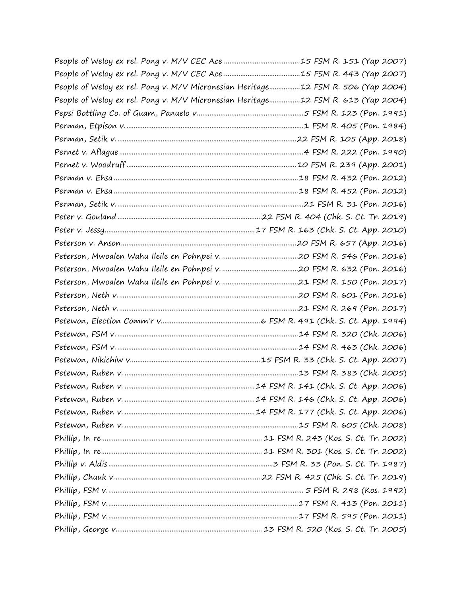| People of Weloy ex rel. Pong v. M/V Micronesian Heritage12 FSM R. 506 (Yap 2004) |  |
|----------------------------------------------------------------------------------|--|
| People of Weloy ex rel. Pong v. M/V Micronesian Heritage12 FSM R. 613 (Yap 2004) |  |
|                                                                                  |  |
|                                                                                  |  |
|                                                                                  |  |
|                                                                                  |  |
|                                                                                  |  |
|                                                                                  |  |
|                                                                                  |  |
|                                                                                  |  |
|                                                                                  |  |
|                                                                                  |  |
|                                                                                  |  |
|                                                                                  |  |
|                                                                                  |  |
|                                                                                  |  |
|                                                                                  |  |
|                                                                                  |  |
|                                                                                  |  |
|                                                                                  |  |
|                                                                                  |  |
|                                                                                  |  |
|                                                                                  |  |
|                                                                                  |  |
|                                                                                  |  |
|                                                                                  |  |
|                                                                                  |  |
|                                                                                  |  |
|                                                                                  |  |
|                                                                                  |  |
|                                                                                  |  |
|                                                                                  |  |
|                                                                                  |  |
|                                                                                  |  |
|                                                                                  |  |
|                                                                                  |  |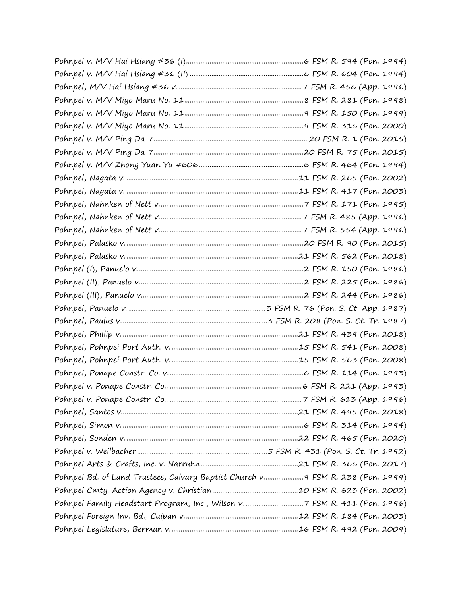| Pohnpei Bd. of Land Trustees, Calvary Baptist Church v 9 FSM R. 238 (Pon. 1999) |  |
|---------------------------------------------------------------------------------|--|
|                                                                                 |  |
|                                                                                 |  |
|                                                                                 |  |
|                                                                                 |  |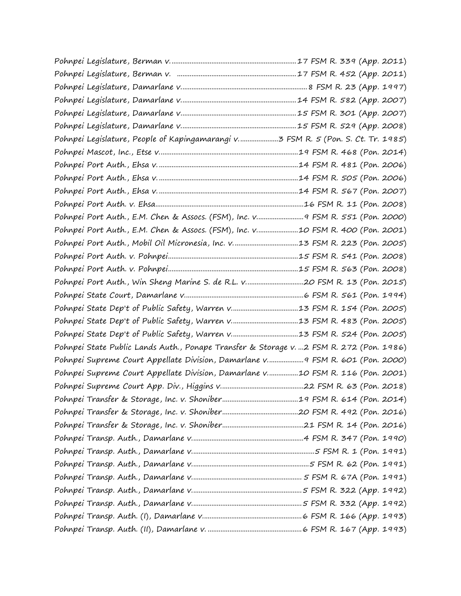| Pohnpei Port Auth., E.M. Chen & Assocs. (FSM), Inc. v 9 FSM R. 551 (Pon. 2000)          |  |
|-----------------------------------------------------------------------------------------|--|
| Pohnpei Port Auth., E.M. Chen & Assocs. (FSM), Inc. v10 FSM R. 400 (Pon. 2001)          |  |
|                                                                                         |  |
|                                                                                         |  |
|                                                                                         |  |
|                                                                                         |  |
|                                                                                         |  |
|                                                                                         |  |
|                                                                                         |  |
|                                                                                         |  |
| Pohnpei State Public Lands Auth., Ponape Transfer & Storage v. 2 FSM R. 272 (Pon. 1986) |  |
| Pohnpei Supreme Court Appellate Division, Damarlane v 9 FSM R. 601 (Pon. 2000)          |  |
| Pohnpei Supreme Court Appellate Division, Damarlane v10 FSM R. 116 (Pon. 2001)          |  |
|                                                                                         |  |
|                                                                                         |  |
|                                                                                         |  |
|                                                                                         |  |
|                                                                                         |  |
|                                                                                         |  |
|                                                                                         |  |
|                                                                                         |  |
|                                                                                         |  |
|                                                                                         |  |
|                                                                                         |  |
|                                                                                         |  |
|                                                                                         |  |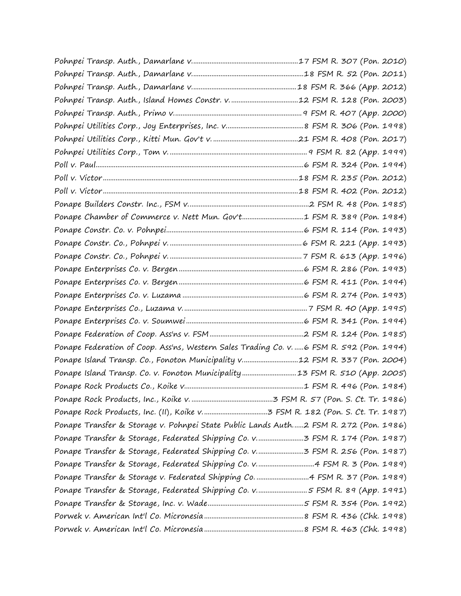| Ponape Chamber of Commerce v. Nett Mun. Gov't1 FSM R. 389 (Pon. 1984)                    |  |
|------------------------------------------------------------------------------------------|--|
|                                                                                          |  |
|                                                                                          |  |
|                                                                                          |  |
|                                                                                          |  |
|                                                                                          |  |
|                                                                                          |  |
|                                                                                          |  |
|                                                                                          |  |
|                                                                                          |  |
| Ponape Federation of Coop. Ass'ns, Western Sales Trading Co. v. 6 FSM R. 592 (Pon. 1994) |  |
| Ponape Island Transp. Co., Fonoton Municipality v12 FSM R. 337 (Pon. 2004)               |  |
| Ponape Island Transp. Co. v. Fonoton Municipality13 FSM R. 510 (App. 2005)               |  |
|                                                                                          |  |
|                                                                                          |  |
|                                                                                          |  |
| Ponape Transfer & Storage v. Pohnpei State Public Lands Auth2 FSM R. 272 (Pon. 1986)     |  |
|                                                                                          |  |
|                                                                                          |  |
|                                                                                          |  |
|                                                                                          |  |
| Ponape Transfer & Storage, Federated Shipping Co. v5 FSM R. 89 (App. 1991)               |  |
|                                                                                          |  |
|                                                                                          |  |
|                                                                                          |  |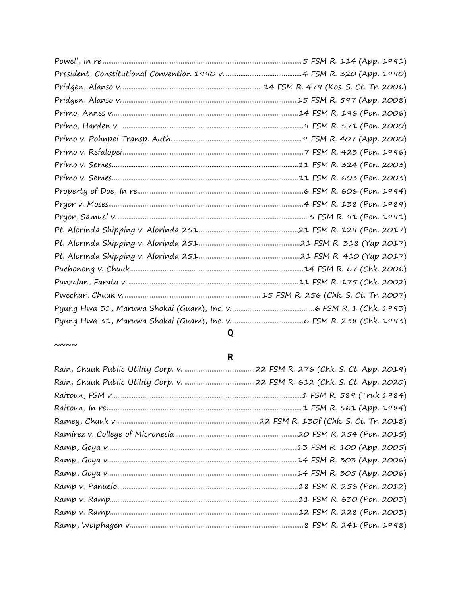## $\sim\sim\sim\sim$

## $\overline{\mathsf{R}}$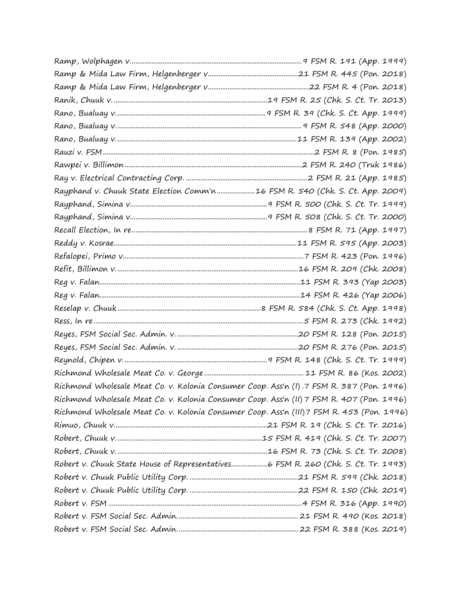| Rayphand v. Chuuk State Election Comm'n16 FSM R. 540 (Chk. S. Ct. App. 2009)              |  |
|-------------------------------------------------------------------------------------------|--|
|                                                                                           |  |
|                                                                                           |  |
|                                                                                           |  |
|                                                                                           |  |
|                                                                                           |  |
|                                                                                           |  |
|                                                                                           |  |
|                                                                                           |  |
|                                                                                           |  |
|                                                                                           |  |
|                                                                                           |  |
|                                                                                           |  |
|                                                                                           |  |
|                                                                                           |  |
| Richmond Wholesale Meat Co. v. Kolonia Consumer Coop. Ass'n (I).7 FSM R. 387 (Pon. 1996)  |  |
| Richmond Wholesale Meat Co. v. Kolonia Consumer Coop. Ass'n (II) 7 FSM R. 407 (Pon. 1996) |  |
| Richmond Wholesale Meat Co. v. Kolonia Consumer Coop. Ass'n (III)7 FSM R. 453 (Pon. 1996) |  |
|                                                                                           |  |
|                                                                                           |  |
|                                                                                           |  |
| Robert v. Chuuk State House of Representatives6 FSM R. 260 (Chk. S. Ct. Tr. 1993)         |  |
|                                                                                           |  |
|                                                                                           |  |
|                                                                                           |  |
|                                                                                           |  |
|                                                                                           |  |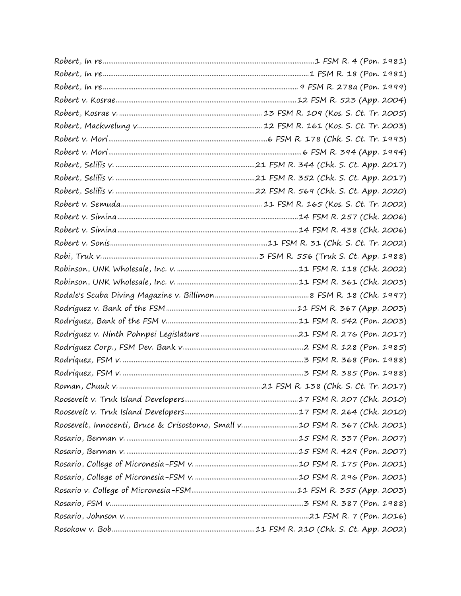| Roosevelt, Innocenti, Bruce & Crisostomo, Small v10 FSM R. 367 (Chk. 2001) |  |
|----------------------------------------------------------------------------|--|
|                                                                            |  |
|                                                                            |  |
|                                                                            |  |
|                                                                            |  |
|                                                                            |  |
|                                                                            |  |
|                                                                            |  |
|                                                                            |  |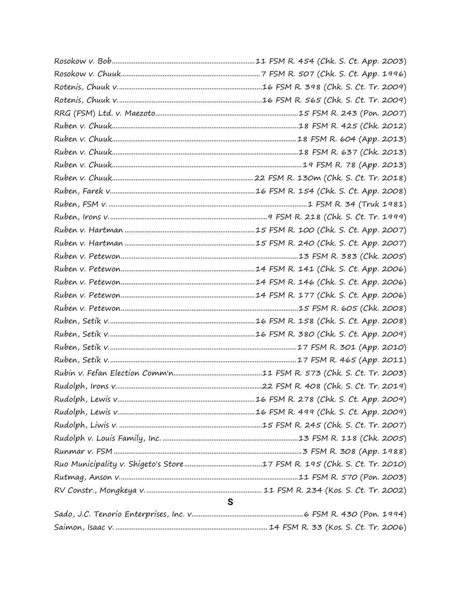| S |
|---|
|   |
|   |
|   |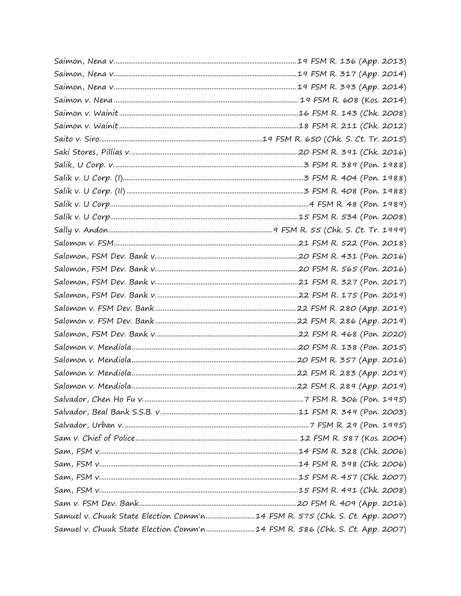| Samuel v. Chuuk State Election Comm'n14 FSM R. 575 (Chk. S. Ct. App. 2007) |  |
|----------------------------------------------------------------------------|--|
| Samuel v. Chuuk State Election Comm'n14 FSM R. 586 (Chk. S. Ct. App. 2007) |  |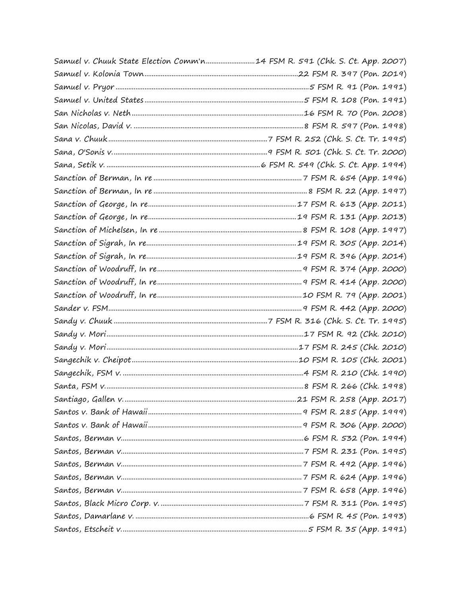| Samuel v. Chuuk State Election Comm'n14 FSM R. 591 (Chk. S. Ct. App. 2007) |  |
|----------------------------------------------------------------------------|--|
|                                                                            |  |
|                                                                            |  |
|                                                                            |  |
|                                                                            |  |
|                                                                            |  |
|                                                                            |  |
|                                                                            |  |
|                                                                            |  |
|                                                                            |  |
|                                                                            |  |
|                                                                            |  |
|                                                                            |  |
|                                                                            |  |
|                                                                            |  |
|                                                                            |  |
|                                                                            |  |
|                                                                            |  |
|                                                                            |  |
|                                                                            |  |
|                                                                            |  |
|                                                                            |  |
|                                                                            |  |
|                                                                            |  |
|                                                                            |  |
|                                                                            |  |
|                                                                            |  |
|                                                                            |  |
|                                                                            |  |
|                                                                            |  |
|                                                                            |  |
|                                                                            |  |
|                                                                            |  |
|                                                                            |  |
|                                                                            |  |
|                                                                            |  |
|                                                                            |  |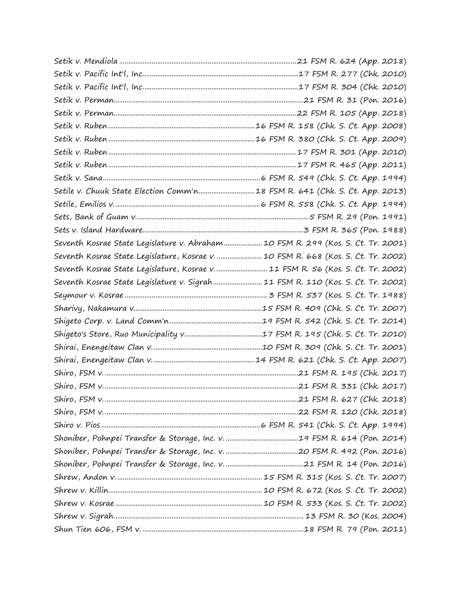| Setile v. Chuuk State Election Comm'n18 FSM R. 641 (Chk. S. Ct. App. 2013)        |  |
|-----------------------------------------------------------------------------------|--|
|                                                                                   |  |
|                                                                                   |  |
|                                                                                   |  |
| Seventh Kosrae State Legislature v. Abraham  10 FSM R. 299 (Kos. S. Ct. Tr. 2001) |  |
| Seventh Kosrae State Legislature, Kosrae v.  10 FSM R. 668 (Kos. S. Ct. Tr. 2002) |  |
| Seventh Kosrae State Legislature, Kosrae v.  11 FSM R. 56 (Kos. S. Ct. Tr. 2002)  |  |
| Seventh Kosrae State Legislature v. Sigrah 11 FSM R. 110 (Kos. S. Ct. Tr. 2002)   |  |
|                                                                                   |  |
|                                                                                   |  |
|                                                                                   |  |
|                                                                                   |  |
|                                                                                   |  |
|                                                                                   |  |
|                                                                                   |  |
|                                                                                   |  |
|                                                                                   |  |
|                                                                                   |  |
|                                                                                   |  |
|                                                                                   |  |
|                                                                                   |  |
|                                                                                   |  |
|                                                                                   |  |
|                                                                                   |  |
|                                                                                   |  |
|                                                                                   |  |
|                                                                                   |  |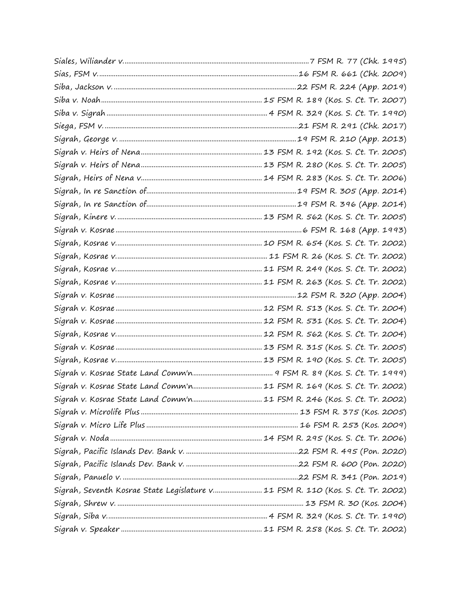| Sigrah, Seventh Kosrae State Legislature v 11 FSM R. 110 (Kos. S. Ct. Tr. 2002) |  |
|---------------------------------------------------------------------------------|--|
|                                                                                 |  |
|                                                                                 |  |
|                                                                                 |  |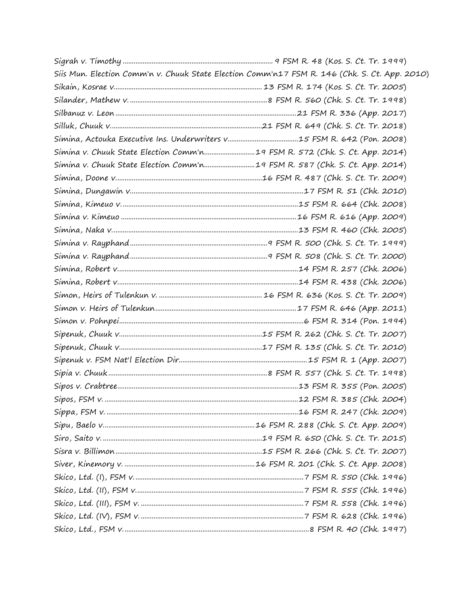| Siis Mun. Election Comm'n v. Chuuk State Election Comm'n17 FSM R. 146 (Chk. S. Ct. App. 2010) |  |
|-----------------------------------------------------------------------------------------------|--|
|                                                                                               |  |
|                                                                                               |  |
|                                                                                               |  |
|                                                                                               |  |
|                                                                                               |  |
| Simina v. Chuuk State Election Comm'n 19 FSM R. 572 (Chk. S. Ct. App. 2014)                   |  |
| Simina v. Chuuk State Election Comm'n19 FSM R. 587 (Chk. S. Ct. App. 2014)                    |  |
|                                                                                               |  |
|                                                                                               |  |
|                                                                                               |  |
|                                                                                               |  |
|                                                                                               |  |
|                                                                                               |  |
|                                                                                               |  |
|                                                                                               |  |
|                                                                                               |  |
|                                                                                               |  |
|                                                                                               |  |
|                                                                                               |  |
|                                                                                               |  |
|                                                                                               |  |
|                                                                                               |  |
|                                                                                               |  |
|                                                                                               |  |
|                                                                                               |  |
|                                                                                               |  |
|                                                                                               |  |
|                                                                                               |  |
|                                                                                               |  |
|                                                                                               |  |
|                                                                                               |  |
|                                                                                               |  |
|                                                                                               |  |
|                                                                                               |  |
|                                                                                               |  |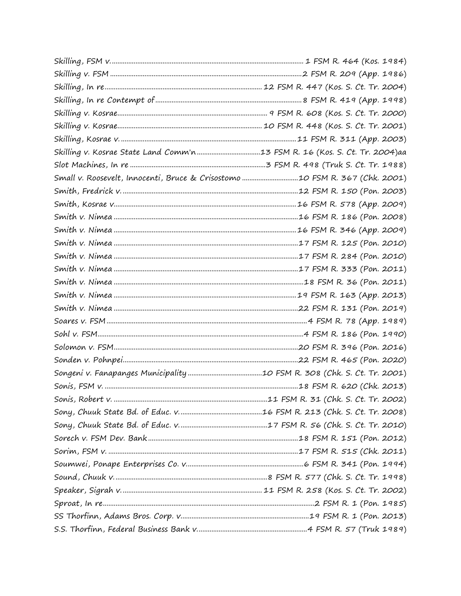| Small v. Roosevelt, Innocenti, Bruce & Crisostomo 10 FSM R. 367 (Chk. 2001) |  |
|-----------------------------------------------------------------------------|--|
|                                                                             |  |
|                                                                             |  |
|                                                                             |  |
|                                                                             |  |
|                                                                             |  |
|                                                                             |  |
|                                                                             |  |
|                                                                             |  |
|                                                                             |  |
|                                                                             |  |
|                                                                             |  |
|                                                                             |  |
|                                                                             |  |
|                                                                             |  |
|                                                                             |  |
|                                                                             |  |
|                                                                             |  |
|                                                                             |  |
|                                                                             |  |
|                                                                             |  |
|                                                                             |  |
|                                                                             |  |
|                                                                             |  |
|                                                                             |  |
|                                                                             |  |
|                                                                             |  |
|                                                                             |  |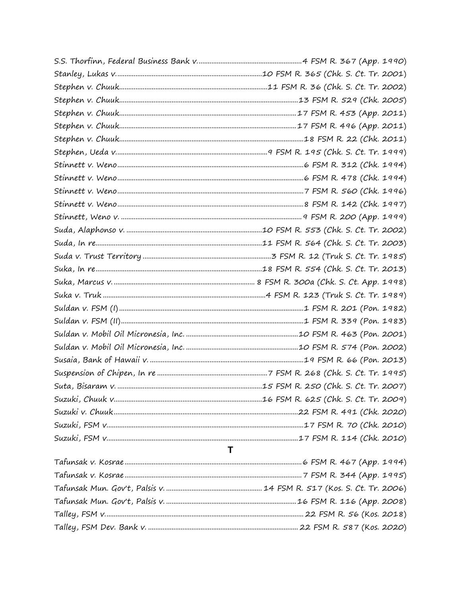| T |
|---|
|   |
|   |
|   |
|   |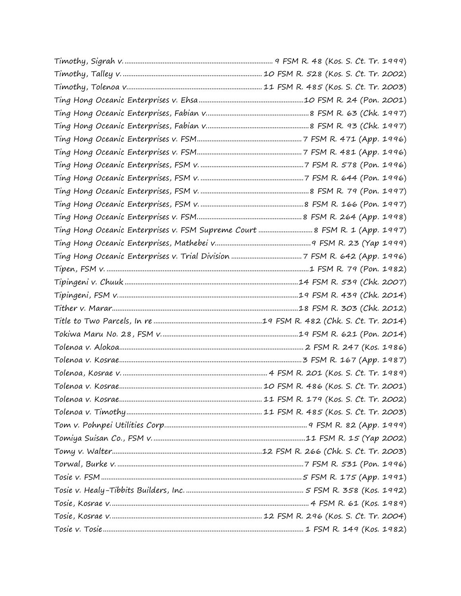| Ting Hong Oceanic Enterprises v. FSM Supreme Court  8 FSM R. 1 (App. 1997) |  |
|----------------------------------------------------------------------------|--|
|                                                                            |  |
|                                                                            |  |
|                                                                            |  |
|                                                                            |  |
|                                                                            |  |
|                                                                            |  |
|                                                                            |  |
|                                                                            |  |
|                                                                            |  |
|                                                                            |  |
|                                                                            |  |
|                                                                            |  |
|                                                                            |  |
|                                                                            |  |
|                                                                            |  |
|                                                                            |  |
|                                                                            |  |
|                                                                            |  |
|                                                                            |  |
|                                                                            |  |
|                                                                            |  |
|                                                                            |  |
|                                                                            |  |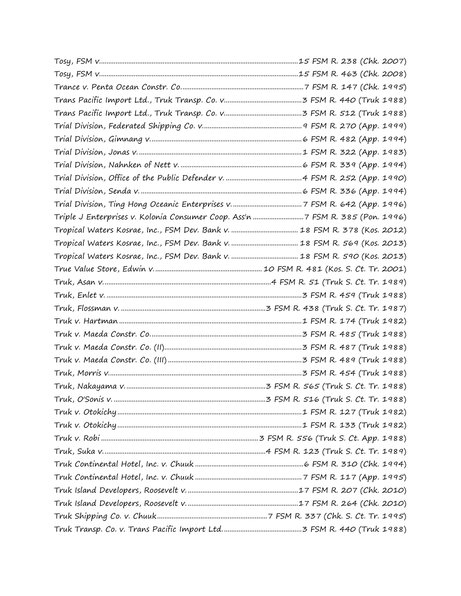| Triple J Enterprises v. Kolonia Consumer Coop. Ass'n 7 FSM R. 385 (Pon. 1996) |  |
|-------------------------------------------------------------------------------|--|
|                                                                               |  |
|                                                                               |  |
|                                                                               |  |
|                                                                               |  |
|                                                                               |  |
|                                                                               |  |
|                                                                               |  |
|                                                                               |  |
|                                                                               |  |
|                                                                               |  |
|                                                                               |  |
|                                                                               |  |
|                                                                               |  |
|                                                                               |  |
|                                                                               |  |
|                                                                               |  |
|                                                                               |  |
|                                                                               |  |
|                                                                               |  |
|                                                                               |  |
|                                                                               |  |
|                                                                               |  |
|                                                                               |  |
|                                                                               |  |
|                                                                               |  |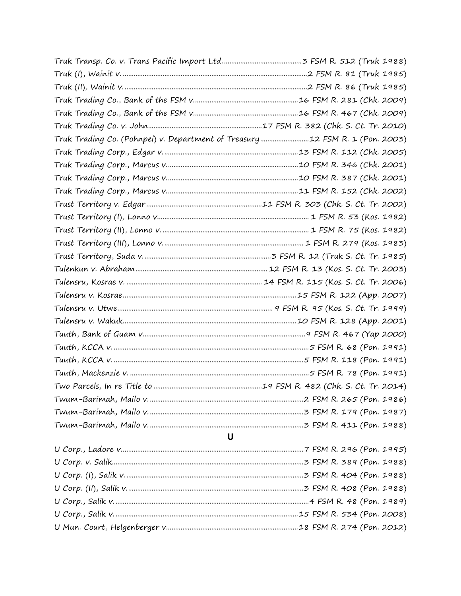| Truk Trading Co. (Pohnpei) v. Department of Treasury12 FSM R. 1 (Pon. 2003) |  |
|-----------------------------------------------------------------------------|--|
|                                                                             |  |
|                                                                             |  |
|                                                                             |  |
|                                                                             |  |
|                                                                             |  |
|                                                                             |  |
|                                                                             |  |
|                                                                             |  |
|                                                                             |  |
|                                                                             |  |
|                                                                             |  |
|                                                                             |  |
|                                                                             |  |
|                                                                             |  |
|                                                                             |  |
|                                                                             |  |
|                                                                             |  |
|                                                                             |  |
|                                                                             |  |
|                                                                             |  |
|                                                                             |  |
|                                                                             |  |
| $\mathbf U$                                                                 |  |
|                                                                             |  |
|                                                                             |  |
|                                                                             |  |
|                                                                             |  |
|                                                                             |  |
|                                                                             |  |
|                                                                             |  |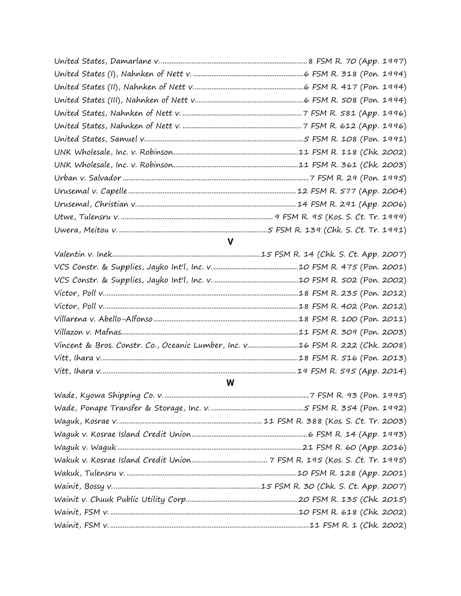## $\mathbf v$

| Vincent & Bros. Constr. Co., Oceanic Lumber, Inc. v 16 FSM R. 222 (Chk. 2008) |  |
|-------------------------------------------------------------------------------|--|
|                                                                               |  |
|                                                                               |  |

## $\mathsf{W}$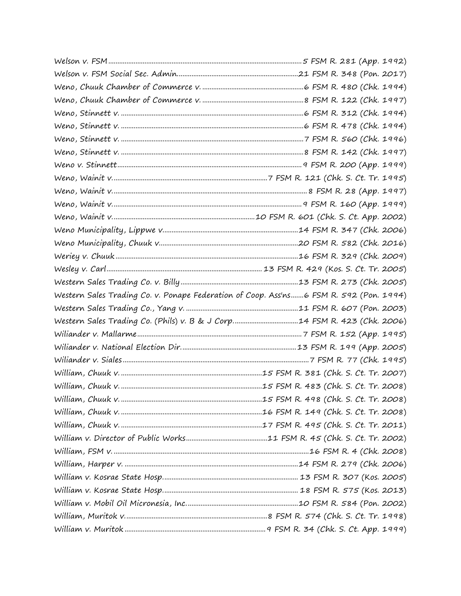| Western Sales Trading Co. v. Ponape Federation of Coop. Ass'ns6 FSM R. 592 (Pon. 1994) |  |
|----------------------------------------------------------------------------------------|--|
|                                                                                        |  |
| Western Sales Trading Co. (Phils) v. B & J Corp14 FSM R. 423 (Chk. 2006)               |  |
|                                                                                        |  |
|                                                                                        |  |
|                                                                                        |  |
|                                                                                        |  |
|                                                                                        |  |
|                                                                                        |  |
|                                                                                        |  |
|                                                                                        |  |
|                                                                                        |  |
|                                                                                        |  |
|                                                                                        |  |
|                                                                                        |  |
|                                                                                        |  |
|                                                                                        |  |
|                                                                                        |  |
|                                                                                        |  |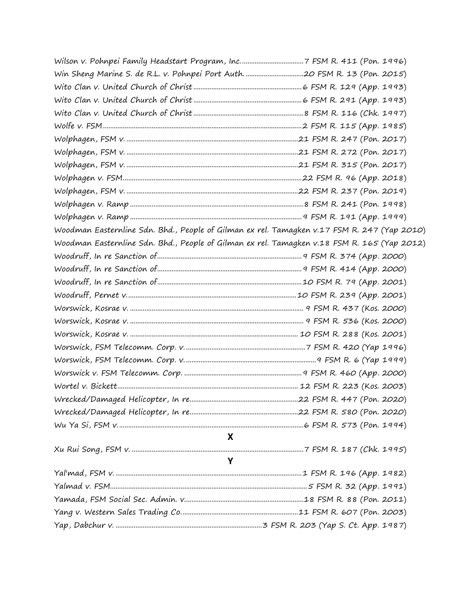| Woodman Easternline Sdn. Bhd., People of Gilman ex rel. Tamagken v.17 FSM R. 247 (Yap 2010) |  |
|---------------------------------------------------------------------------------------------|--|
| Woodman Easternline Sdn. Bhd., People of Gilman ex rel. Tamagken v.18 FSM R. 165 (Yap 2012) |  |
|                                                                                             |  |
|                                                                                             |  |
|                                                                                             |  |
|                                                                                             |  |
|                                                                                             |  |
|                                                                                             |  |
|                                                                                             |  |
|                                                                                             |  |
|                                                                                             |  |
|                                                                                             |  |
|                                                                                             |  |
|                                                                                             |  |
|                                                                                             |  |
|                                                                                             |  |
| $\mathbf{X}$                                                                                |  |
|                                                                                             |  |
| Y                                                                                           |  |
|                                                                                             |  |
|                                                                                             |  |
|                                                                                             |  |
|                                                                                             |  |
|                                                                                             |  |